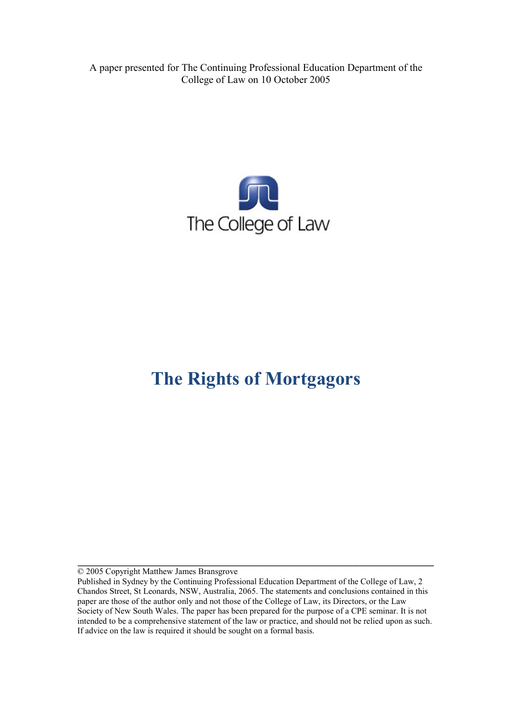A paper presented for The Continuing Professional Education Department of the College of Law on 10 October 2005



# **The Rights of Mortgagors**

© 2005 Copyright Matthew James Bransgrove

Published in Sydney by the Continuing Professional Education Department of the College of Law, 2 Chandos Street, St Leonards, NSW, Australia, 2065. The statements and conclusions contained in this paper are those of the author only and not those of the College of Law, its Directors, or the Law Society of New South Wales. The paper has been prepared for the purpose of a CPE seminar. It is not intended to be a comprehensive statement of the law or practice, and should not be relied upon as such. If advice on the law is required it should be sought on a formal basis.

**\_\_\_\_\_\_\_\_\_\_\_\_\_\_\_\_\_\_\_\_\_\_\_\_\_\_\_\_\_\_\_\_\_\_\_\_\_\_\_\_\_\_\_\_\_\_\_\_\_\_\_\_\_\_\_\_\_\_\_\_\_\_\_\_\_\_\_\_\_**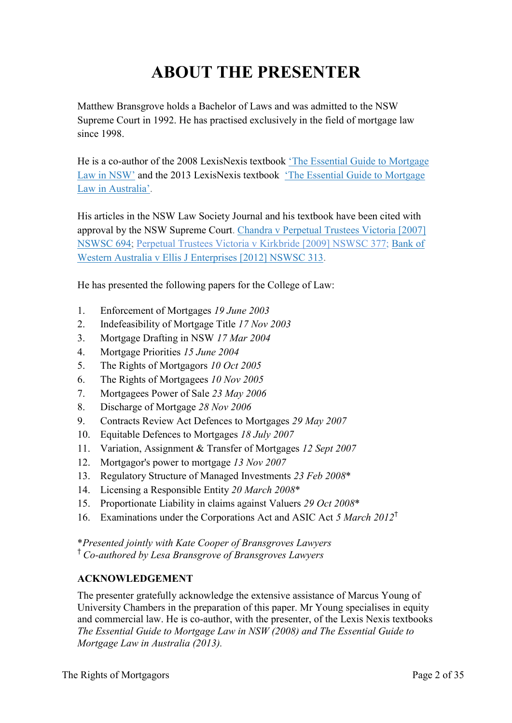# **ABOUT THE PRESENTER**

Matthew Bransgrove holds a Bachelor of Laws and was admitted to the NSW Supreme Court in 1992. He has practised exclusively in the field of mortgage law since 1998.

He is a co-author of the 2008 LexisNexis textbook ['The Essential Guide to Mortgage](http://www.bransgroves.com.au/documents/PDF/Book/OrderForm3LR.pdf) [Law in](http://www.bransgroves.com.au/documents/PDF/Book/OrderForm3LR.pdf) NSW' and the 2013 LexisNexis textbook ['The Essential Guide to Mortgage](http://www.bransgroves.com.au/documents/PDF/Book/EGMLA2ndEdition.pdf) Law in [Australia'.](http://www.bransgroves.com.au/documents/PDF/Book/EGMLA2ndEdition.pdf)

His articles in the NSW Law Society Journal and his textbook have been cited with approval by the NSW Supreme Court. [Chandra v Perpetual Trustees Victoria \[2007\]](http://www.austlii.edu.au/au/cases/nsw/NSWSC/2007/694.html) [NSWSC 694;](http://www.austlii.edu.au/au/cases/nsw/NSWSC/2007/694.html) [Perpetual Trustees Victoria v Kirkbride \[2009\] NSWSC 377;](http://www.austlii.edu.au/au/cases/nsw/NSWSC/2009/377.html) [Bank](http://www.austlii.edu.au/au/cases/nsw/NSWSC/2012/313.html) of [Western Australia v Ellis J Enterprises](http://www.austlii.edu.au/au/cases/nsw/NSWSC/2012/313.html) [2012] NSWSC 313.

He has presented the following papers for the College of Law:

- 1. Enforcement of Mortgages *19 June 2003*
- 2. Indefeasibility of Mortgage Title *17 Nov 2003*
- 3. Mortgage Drafting in NSW *17 Mar 2004*
- 4. Mortgage Priorities *15 June 2004*
- 5. The Rights of Mortgagors *10 Oct 2005*
- 6. The Rights of Mortgagees *10 Nov 2005*
- 7. Mortgagees Power of Sale *23 May 2006*
- 8. Discharge of Mortgage *28 Nov 2006*
- 9. Contracts Review Act Defences to Mortgages *29 May 2007*
- 10. Equitable Defences to Mortgages *18 July 2007*
- 11. Variation, Assignment & Transfer of Mortgages *12 Sept 2007*
- 12. Mortgagor's power to mortgage *13 Nov 2007*
- 13. Regulatory Structure of Managed Investments *23 Feb 2008*\*
- 14. Licensing a Responsible Entity *20 March 2008*\*
- 15. Proportionate Liability in claims against Valuers *29 Oct 2008*\*
- 16. Examinations under the Corporations Act and ASIC Act *5 March 2012*†

\**Presented jointly with Kate Cooper of Bransgroves Lawyers*

† *Co-authored by Lesa Bransgrove of Bransgroves Lawyers*

#### **ACKNOWLEDGEMENT**

The presenter gratefully acknowledge the extensive assistance of Marcus Young of University Chambers in the preparation of this paper. Mr Young specialises in equity and commercial law. He is co-author, with the presenter, of the Lexis Nexis textbooks *The Essential Guide to Mortgage Law in NSW (2008) and The Essential Guide to Mortgage Law in Australia (2013).*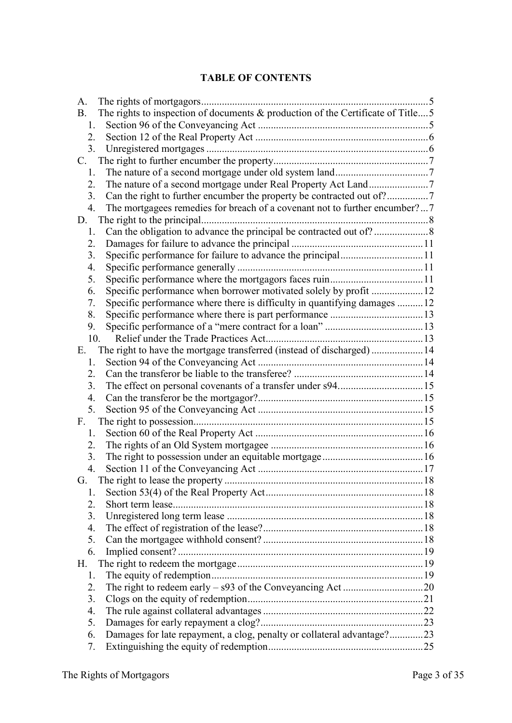#### **TABLE OF CONTENTS**

| A.                                                                                           |  |
|----------------------------------------------------------------------------------------------|--|
| The rights to inspection of documents & production of the Certificate of Title5<br><b>B.</b> |  |
| 1.                                                                                           |  |
| 2.                                                                                           |  |
| 3 <sub>1</sub>                                                                               |  |
|                                                                                              |  |
| 1.                                                                                           |  |
| 2.                                                                                           |  |
| 3.                                                                                           |  |
| The mortgagees remedies for breach of a covenant not to further encumber?7<br>4.             |  |
| D.                                                                                           |  |
| 1.                                                                                           |  |
| 2.                                                                                           |  |
| 3.                                                                                           |  |
| 4.                                                                                           |  |
| 5.                                                                                           |  |
| Specific performance when borrower motivated solely by profit 12<br>6.                       |  |
| Specific performance where there is difficulty in quantifying damages 12<br>7.               |  |
| 8.                                                                                           |  |
| 9.                                                                                           |  |
| 10.                                                                                          |  |
| The right to have the mortgage transferred (instead of discharged)14<br>Е.                   |  |
| 1.                                                                                           |  |
| 2.                                                                                           |  |
| 3.                                                                                           |  |
| 4.                                                                                           |  |
| 5.                                                                                           |  |
| F.                                                                                           |  |
| 1.                                                                                           |  |
| 2.                                                                                           |  |
| 3.                                                                                           |  |
| 4.                                                                                           |  |
| G.                                                                                           |  |
| 1.                                                                                           |  |
| 2.                                                                                           |  |
| 3.                                                                                           |  |
| $\overline{4}$ .                                                                             |  |
| 5.                                                                                           |  |
| 6.                                                                                           |  |
| Н.                                                                                           |  |
| 1.                                                                                           |  |
| 2.                                                                                           |  |
| 3.                                                                                           |  |
| $\overline{4}$ .                                                                             |  |
| 5.                                                                                           |  |
| Damages for late repayment, a clog, penalty or collateral advantage?23<br>6.                 |  |
| 7.                                                                                           |  |
|                                                                                              |  |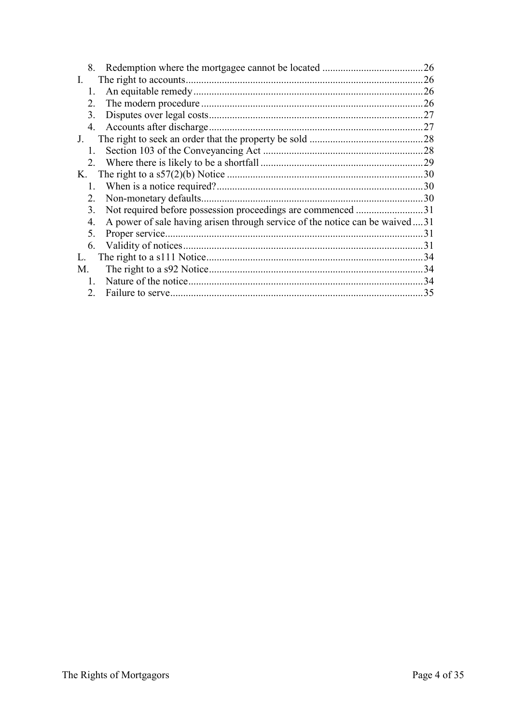|          |                                  | 26                                                                                                                                                      |
|----------|----------------------------------|---------------------------------------------------------------------------------------------------------------------------------------------------------|
| $\Gamma$ |                                  | 26                                                                                                                                                      |
|          |                                  | 26                                                                                                                                                      |
|          |                                  | 26                                                                                                                                                      |
|          |                                  | .27                                                                                                                                                     |
| 4.       |                                  | .27                                                                                                                                                     |
| $J_{-}$  |                                  | .28                                                                                                                                                     |
|          |                                  | 28                                                                                                                                                      |
|          |                                  | 29                                                                                                                                                      |
|          |                                  | .30                                                                                                                                                     |
|          |                                  | 30                                                                                                                                                      |
|          |                                  | 30                                                                                                                                                      |
|          |                                  | .31                                                                                                                                                     |
|          |                                  |                                                                                                                                                         |
|          |                                  | 31                                                                                                                                                      |
|          |                                  | 31                                                                                                                                                      |
|          |                                  | 34                                                                                                                                                      |
|          |                                  | 34                                                                                                                                                      |
|          |                                  | -34                                                                                                                                                     |
|          |                                  | 35                                                                                                                                                      |
|          | K.<br>4.<br>5.<br>6.<br>L.<br>M. | 8.<br>1.<br>2.<br>3.<br>1.<br>2.<br>1.<br>2.<br>3.<br>A power of sale having arisen through service of the notice can be waived31<br>$\mathbf{1}$<br>2. |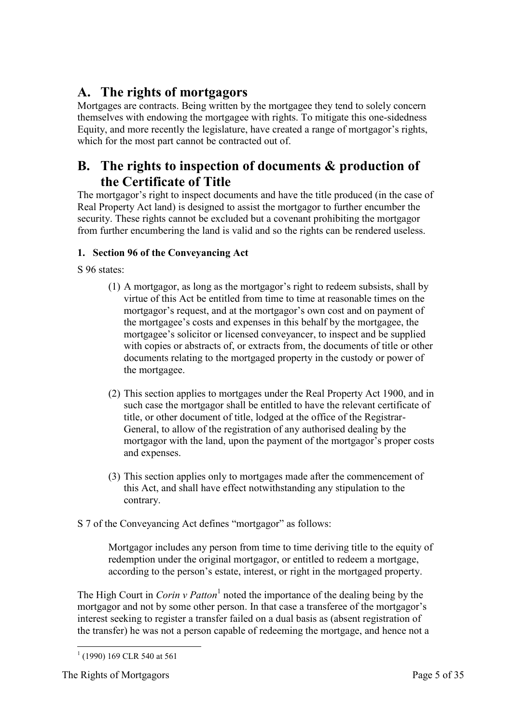# <span id="page-4-0"></span>**A. The rights of mortgagors**

Mortgages are contracts. Being written by the mortgagee they tend to solely concern themselves with endowing the mortgagee with rights. To mitigate this one-sidedness Equity, and more recently the legislature, have created a range of mortgagor's rights, which for the most part cannot be contracted out of.

## <span id="page-4-1"></span>**B. The rights to inspection of documents & production of the Certificate of Title**

The mortgagor's right to inspect documents and have the title produced (in the case of Real Property Act land) is designed to assist the mortgagor to further encumber the security. These rights cannot be excluded but a covenant prohibiting the mortgagor from further encumbering the land is valid and so the rights can be rendered useless.

#### <span id="page-4-2"></span>**1. Section 96 of the Conveyancing Act**

- S 96 states:
	- (1) A mortgagor, as long as the mortgagor's right to redeem subsists, shall by virtue of this Act be entitled from time to time at reasonable times on the mortgagor's request, and at the mortgagor's own cost and on payment of the mortgagee's costs and expenses in this behalf by the mortgagee, the mortgagee's solicitor or licensed conveyancer, to inspect and be supplied with copies or abstracts of, or extracts from, the documents of title or other documents relating to the mortgaged property in the custody or power of the mortgagee.
	- (2) This section applies to mortgages under the Real Property Act 1900, and in such case the mortgagor shall be entitled to have the relevant certificate of title, or other document of title, lodged at the office of the Registrar-General, to allow of the registration of any authorised dealing by the mortgagor with the land, upon the payment of the mortgagor's proper costs and expenses.
	- (3) This section applies only to mortgages made after the commencement of this Act, and shall have effect notwithstanding any stipulation to the contrary.
- S 7 of the Conveyancing Act defines "mortgagor" as follows:

Mortgagor includes any person from time to time deriving title to the equity of redemption under the original mortgagor, or entitled to redeem a mortgage, according to the person's estate, interest, or right in the mortgaged property.

The High Court in *Corin v Patton*<sup>1</sup> noted the importance of the dealing being by the mortgagor and not by some other person. In that case a transferee of the mortgagor's interest seeking to register a transfer failed on a dual basis as (absent registration of the transfer) he was not a person capable of redeeming the mortgage, and hence not a

<sup>-</sup> $<sup>1</sup>$  (1990) 169 CLR 540 at 561</sup>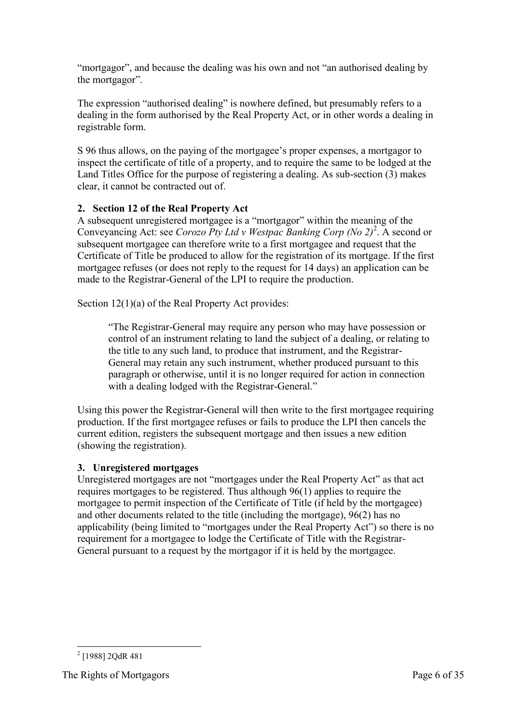"mortgagor", and because the dealing was his own and not "an authorised dealing by the mortgagor".

The expression "authorised dealing" is nowhere defined, but presumably refers to a dealing in the form authorised by the Real Property Act, or in other words a dealing in registrable form.

S 96 thus allows, on the paying of the mortgagee's proper expenses, a mortgagor to inspect the certificate of title of a property, and to require the same to be lodged at the Land Titles Office for the purpose of registering a dealing. As sub-section (3) makes clear, it cannot be contracted out of.

#### <span id="page-5-0"></span>**2. Section 12 of the Real Property Act**

A subsequent unregistered mortgagee is a "mortgagor" within the meaning of the Conveyancing Act: see *Corozo Pty Ltd v Westpac Banking Corp (No 2)*<sup>2</sup>. A second or subsequent mortgagee can therefore write to a first mortgagee and request that the Certificate of Title be produced to allow for the registration of its mortgage. If the first mortgagee refuses (or does not reply to the request for 14 days) an application can be made to the Registrar-General of the LPI to require the production.

Section 12(1)(a) of the Real Property Act provides:

"The Registrar-General may require any person who may have possession or control of an instrument relating to land the subject of a dealing, or relating to the title to any such land, to produce that instrument, and the Registrar-General may retain any such instrument, whether produced pursuant to this paragraph or otherwise, until it is no longer required for action in connection with a dealing lodged with the Registrar-General."

Using this power the Registrar-General will then write to the first mortgagee requiring production. If the first mortgagee refuses or fails to produce the LPI then cancels the current edition, registers the subsequent mortgage and then issues a new edition (showing the registration).

#### <span id="page-5-1"></span>**3. Unregistered mortgages**

Unregistered mortgages are not "mortgages under the Real Property Act" as that act requires mortgages to be registered. Thus although 96(1) applies to require the mortgagee to permit inspection of the Certificate of Title (if held by the mortgagee) and other documents related to the title (including the mortgage), 96(2) has no applicability (being limited to "mortgages under the Real Property Act") so there is no requirement for a mortgagee to lodge the Certificate of Title with the Registrar-General pursuant to a request by the mortgagor if it is held by the mortgagee.

<sup>-</sup> $2$  [1988] 2QdR 481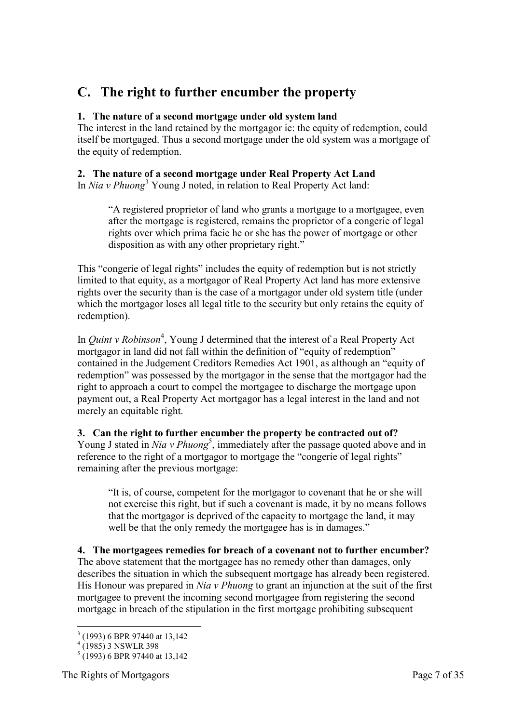# <span id="page-6-0"></span>**C. The right to further encumber the property**

#### <span id="page-6-1"></span>**1. The nature of a second mortgage under old system land**

The interest in the land retained by the mortgagor ie: the equity of redemption, could itself be mortgaged. Thus a second mortgage under the old system was a mortgage of the equity of redemption.

#### <span id="page-6-2"></span>**2. The nature of a second mortgage under Real Property Act Land**

In *Nia v Phuong*<sup>3</sup> Young J noted, in relation to Real Property Act land:

"A registered proprietor of land who grants a mortgage to a mortgagee, even after the mortgage is registered, remains the proprietor of a congerie of legal rights over which prima facie he or she has the power of mortgage or other disposition as with any other proprietary right."

This "congerie of legal rights" includes the equity of redemption but is not strictly limited to that equity, as a mortgagor of Real Property Act land has more extensive rights over the security than is the case of a mortgagor under old system title (under which the mortgagor loses all legal title to the security but only retains the equity of redemption).

In *Quint v Robinson*<sup>4</sup>, Young J determined that the interest of a Real Property Act mortgagor in land did not fall within the definition of "equity of redemption" contained in the Judgement Creditors Remedies Act 1901, as although an "equity of redemption" was possessed by the mortgagor in the sense that the mortgagor had the right to approach a court to compel the mortgagee to discharge the mortgage upon payment out, a Real Property Act mortgagor has a legal interest in the land and not merely an equitable right.

#### <span id="page-6-3"></span>**3. Can the right to further encumber the property be contracted out of?**

Young J stated in *Nia v Phuong*<sup>5</sup>, immediately after the passage quoted above and in reference to the right of a mortgagor to mortgage the "congerie of legal rights" remaining after the previous mortgage:

"It is, of course, competent for the mortgagor to covenant that he or she will not exercise this right, but if such a covenant is made, it by no means follows that the mortgagor is deprived of the capacity to mortgage the land, it may well be that the only remedy the mortgagee has is in damages."

<span id="page-6-4"></span>**4. The mortgagees remedies for breach of a covenant not to further encumber?**  The above statement that the mortgagee has no remedy other than damages, only describes the situation in which the subsequent mortgage has already been registered. His Honour was prepared in *Nia v Phuong* to grant an injunction at the suit of the first mortgagee to prevent the incoming second mortgagee from registering the second mortgage in breach of the stipulation in the first mortgage prohibiting subsequent

 3 (1993) 6 BPR 97440 at 13,142

<sup>4</sup> (1985) 3 NSWLR 398

 $<sup>5</sup>$  (1993) 6 BPR 97440 at 13,142</sup>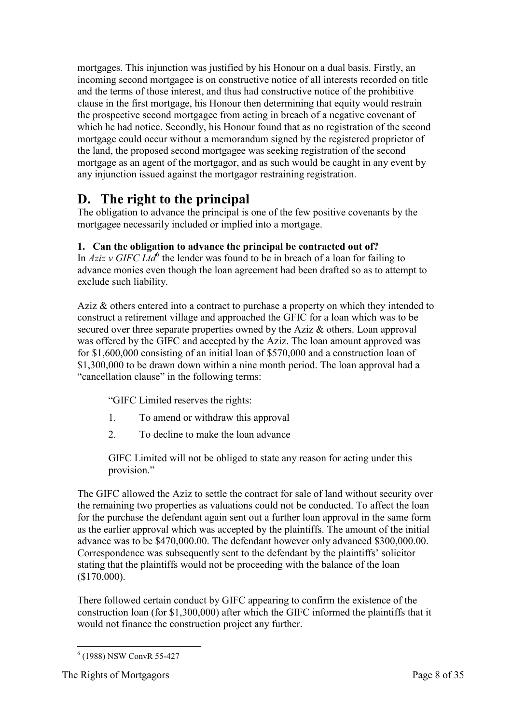mortgages. This injunction was justified by his Honour on a dual basis. Firstly, an incoming second mortgagee is on constructive notice of all interests recorded on title and the terms of those interest, and thus had constructive notice of the prohibitive clause in the first mortgage, his Honour then determining that equity would restrain the prospective second mortgagee from acting in breach of a negative covenant of which he had notice. Secondly, his Honour found that as no registration of the second mortgage could occur without a memorandum signed by the registered proprietor of the land, the proposed second mortgagee was seeking registration of the second mortgage as an agent of the mortgagor, and as such would be caught in any event by any injunction issued against the mortgagor restraining registration.

### <span id="page-7-0"></span>**D. The right to the principal**

The obligation to advance the principal is one of the few positive covenants by the mortgagee necessarily included or implied into a mortgage.

#### <span id="page-7-1"></span>**1. Can the obligation to advance the principal be contracted out of?**

In  $Aziz$  v GIFC Ltd<sup>6</sup> the lender was found to be in breach of a loan for failing to advance monies even though the loan agreement had been drafted so as to attempt to exclude such liability.

Aziz & others entered into a contract to purchase a property on which they intended to construct a retirement village and approached the GFIC for a loan which was to be secured over three separate properties owned by the Aziz & others. Loan approval was offered by the GIFC and accepted by the Aziz. The loan amount approved was for \$1,600,000 consisting of an initial loan of \$570,000 and a construction loan of \$1,300,000 to be drawn down within a nine month period. The loan approval had a "cancellation clause" in the following terms:

"GIFC Limited reserves the rights:

- 1. To amend or withdraw this approval
- 2. To decline to make the loan advance

GIFC Limited will not be obliged to state any reason for acting under this provision."

The GIFC allowed the Aziz to settle the contract for sale of land without security over the remaining two properties as valuations could not be conducted. To affect the loan for the purchase the defendant again sent out a further loan approval in the same form as the earlier approval which was accepted by the plaintiffs. The amount of the initial advance was to be \$470,000.00. The defendant however only advanced \$300,000.00. Correspondence was subsequently sent to the defendant by the plaintiffs' solicitor stating that the plaintiffs would not be proceeding with the balance of the loan (\$170,000).

There followed certain conduct by GIFC appearing to confirm the existence of the construction loan (for \$1,300,000) after which the GIFC informed the plaintiffs that it would not finance the construction project any further.

<sup>-</sup>6 (1988) NSW ConvR 55-427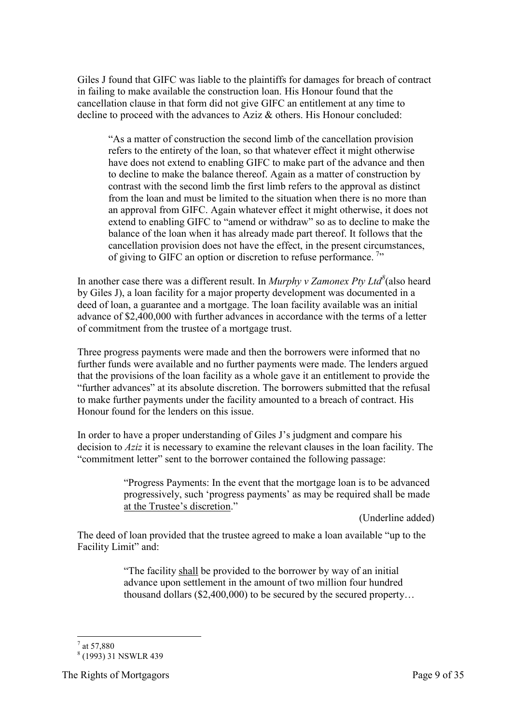Giles J found that GIFC was liable to the plaintiffs for damages for breach of contract in failing to make available the construction loan. His Honour found that the cancellation clause in that form did not give GIFC an entitlement at any time to decline to proceed with the advances to Aziz & others. His Honour concluded:

"As a matter of construction the second limb of the cancellation provision refers to the entirety of the loan, so that whatever effect it might otherwise have does not extend to enabling GIFC to make part of the advance and then to decline to make the balance thereof. Again as a matter of construction by contrast with the second limb the first limb refers to the approval as distinct from the loan and must be limited to the situation when there is no more than an approval from GIFC. Again whatever effect it might otherwise, it does not extend to enabling GIFC to "amend or withdraw" so as to decline to make the balance of the loan when it has already made part thereof. It follows that the cancellation provision does not have the effect, in the present circumstances, of giving to GIFC an option or discretion to refuse performance.<sup>7</sup>

In another case there was a different result. In *Murphy v Zamonex Pty Ltd<sup>8</sup>* (also heard by Giles J), a loan facility for a major property development was documented in a deed of loan, a guarantee and a mortgage. The loan facility available was an initial advance of \$2,400,000 with further advances in accordance with the terms of a letter of commitment from the trustee of a mortgage trust.

Three progress payments were made and then the borrowers were informed that no further funds were available and no further payments were made. The lenders argued that the provisions of the loan facility as a whole gave it an entitlement to provide the "further advances" at its absolute discretion. The borrowers submitted that the refusal to make further payments under the facility amounted to a breach of contract. His Honour found for the lenders on this issue.

In order to have a proper understanding of Giles J's judgment and compare his decision to *Aziz* it is necessary to examine the relevant clauses in the loan facility. The "commitment letter" sent to the borrower contained the following passage:

> "Progress Payments: In the event that the mortgage loan is to be advanced progressively, such 'progress payments' as may be required shall be made at the Trustee's discretion."

> > (Underline added)

The deed of loan provided that the trustee agreed to make a loan available "up to the Facility Limit" and:

> "The facility shall be provided to the borrower by way of an initial advance upon settlement in the amount of two million four hundred thousand dollars (\$2,400,000) to be secured by the secured property…

<sup>-</sup> $7$  at 57,880

<sup>8</sup> (1993) 31 NSWLR 439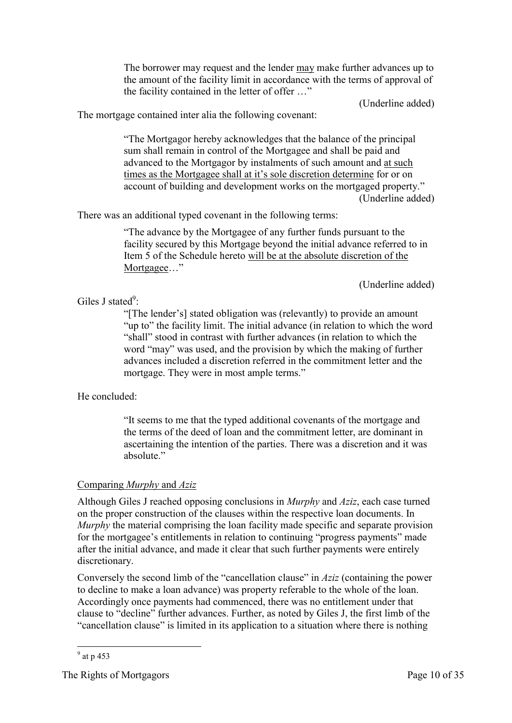The borrower may request and the lender may make further advances up to the amount of the facility limit in accordance with the terms of approval of the facility contained in the letter of offer …"

(Underline added)

The mortgage contained inter alia the following covenant:

"The Mortgagor hereby acknowledges that the balance of the principal sum shall remain in control of the Mortgagee and shall be paid and advanced to the Mortgagor by instalments of such amount and at such times as the Mortgagee shall at it's sole discretion determine for or on account of building and development works on the mortgaged property." (Underline added)

There was an additional typed covenant in the following terms:

"The advance by the Mortgagee of any further funds pursuant to the facility secured by this Mortgage beyond the initial advance referred to in Item 5 of the Schedule hereto will be at the absolute discretion of the Mortgagee…"

(Underline added)

#### Giles J stated $\degree$ :

"[The lender's] stated obligation was (relevantly) to provide an amount "up to" the facility limit. The initial advance (in relation to which the word "shall" stood in contrast with further advances (in relation to which the word "may" was used, and the provision by which the making of further advances included a discretion referred in the commitment letter and the mortgage. They were in most ample terms."

He concluded:

"It seems to me that the typed additional covenants of the mortgage and the terms of the deed of loan and the commitment letter, are dominant in ascertaining the intention of the parties. There was a discretion and it was absolute."

#### Comparing *Murphy* and *Aziz*

Although Giles J reached opposing conclusions in *Murphy* and *Aziz*, each case turned on the proper construction of the clauses within the respective loan documents. In *Murphy* the material comprising the loan facility made specific and separate provision for the mortgagee's entitlements in relation to continuing "progress payments" made after the initial advance, and made it clear that such further payments were entirely discretionary.

Conversely the second limb of the "cancellation clause" in *Aziz* (containing the power to decline to make a loan advance) was property referable to the whole of the loan. Accordingly once payments had commenced, there was no entitlement under that clause to "decline" further advances. Further, as noted by Giles J, the first limb of the "cancellation clause" is limited in its application to a situation where there is nothing

 $\frac{9}{9}$  at p 453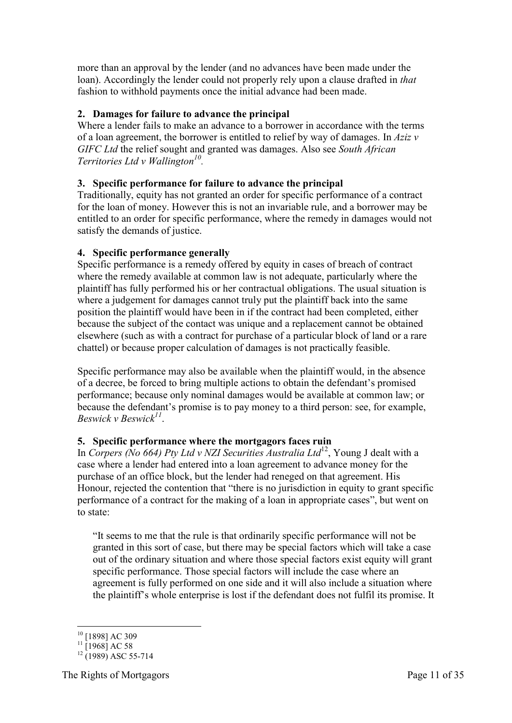more than an approval by the lender (and no advances have been made under the loan). Accordingly the lender could not properly rely upon a clause drafted in *that* fashion to withhold payments once the initial advance had been made.

#### <span id="page-10-0"></span>**2. Damages for failure to advance the principal**

Where a lender fails to make an advance to a borrower in accordance with the terms of a loan agreement, the borrower is entitled to relief by way of damages. In *Aziz v GIFC Ltd* the relief sought and granted was damages. Also see *South African Territories Ltd v Wallington<sup>10</sup> .*

#### <span id="page-10-1"></span>**3. Specific performance for failure to advance the principal**

Traditionally, equity has not granted an order for specific performance of a contract for the loan of money. However this is not an invariable rule, and a borrower may be entitled to an order for specific performance, where the remedy in damages would not satisfy the demands of justice.

#### <span id="page-10-2"></span>**4. Specific performance generally**

Specific performance is a remedy offered by equity in cases of breach of contract where the remedy available at common law is not adequate, particularly where the plaintiff has fully performed his or her contractual obligations. The usual situation is where a judgement for damages cannot truly put the plaintiff back into the same position the plaintiff would have been in if the contract had been completed, either because the subject of the contact was unique and a replacement cannot be obtained elsewhere (such as with a contract for purchase of a particular block of land or a rare chattel) or because proper calculation of damages is not practically feasible.

Specific performance may also be available when the plaintiff would, in the absence of a decree, be forced to bring multiple actions to obtain the defendant's promised performance; because only nominal damages would be available at common law; or because the defendant's promise is to pay money to a third person: see, for example, *Beswick v Beswick<sup>11</sup>* .

#### <span id="page-10-3"></span>**5. Specific performance where the mortgagors faces ruin**

In *Corpers (No 664) Pty Ltd v NZI Securities Australia Ltd*<sup>12</sup>, Young J dealt with a case where a lender had entered into a loan agreement to advance money for the purchase of an office block, but the lender had reneged on that agreement. His Honour, rejected the contention that "there is no jurisdiction in equity to grant specific performance of a contract for the making of a loan in appropriate cases", but went on to state:

"It seems to me that the rule is that ordinarily specific performance will not be granted in this sort of case, but there may be special factors which will take a case out of the ordinary situation and where those special factors exist equity will grant specific performance. Those special factors will include the case where an agreement is fully performed on one side and it will also include a situation where the plaintiff's whole enterprise is lost if the defendant does not fulfil its promise. It

<sup>-</sup><sup>10</sup> [1898] AC 309

 $11$  [1968] AC 58

 $12 \frac{12689}{(1989)}$  ASC 55-714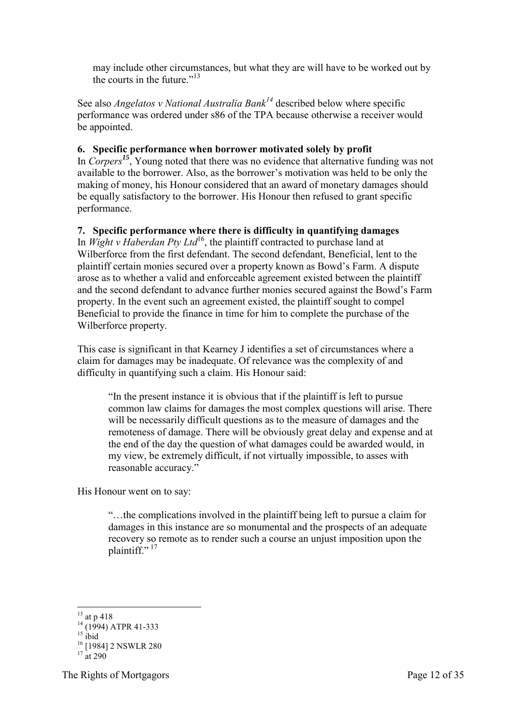may include other circumstances, but what they are will have to be worked out by the courts in the future."<sup>13</sup>

See also *Angelatos v National Australia Bank<sup>14</sup>* described below where specific performance was ordered under s86 of the TPA because otherwise a receiver would be appointed.

#### <span id="page-11-0"></span>**6. Specific performance when borrower motivated solely by profit**

In *Corpers<sup>15</sup>*, Young noted that there was no evidence that alternative funding was not available to the borrower. Also, as the borrower's motivation was held to be only the making of money, his Honour considered that an award of monetary damages should be equally satisfactory to the borrower. His Honour then refused to grant specific performance.

#### <span id="page-11-1"></span>**7. Specific performance where there is difficulty in quantifying damages**

In *Wight v Haberdan Pty Ltd*<sup>16</sup>, the plaintiff contracted to purchase land at Wilberforce from the first defendant. The second defendant, Beneficial, lent to the plaintiff certain monies secured over a property known as Bowd's Farm. A dispute arose as to whether a valid and enforceable agreement existed between the plaintiff and the second defendant to advance further monies secured against the Bowd's Farm property. In the event such an agreement existed, the plaintiff sought to compel Beneficial to provide the finance in time for him to complete the purchase of the Wilberforce property.

This case is significant in that Kearney J identifies a set of circumstances where a claim for damages may be inadequate. Of relevance was the complexity of and difficulty in quantifying such a claim. His Honour said:

"In the present instance it is obvious that if the plaintiff is left to pursue common law claims for damages the most complex questions will arise. There will be necessarily difficult questions as to the measure of damages and the remoteness of damage. There will be obviously great delay and expense and at the end of the day the question of what damages could be awarded would, in my view, be extremely difficult, if not virtually impossible, to asses with reasonable accuracy."

His Honour went on to say:

"…the complications involved in the plaintiff being left to pursue a claim for damages in this instance are so monumental and the prospects of an adequate recovery so remote as to render such a course an unjust imposition upon the plaintiff $\cdots$ <sup>17</sup>

<sup>-</sup> $^{13}$  at p 418

 $14$  (1994) ATPR 41-333

 $15$  ibid

<sup>16</sup> [1984] 2 NSWLR 280

 $17$  at 290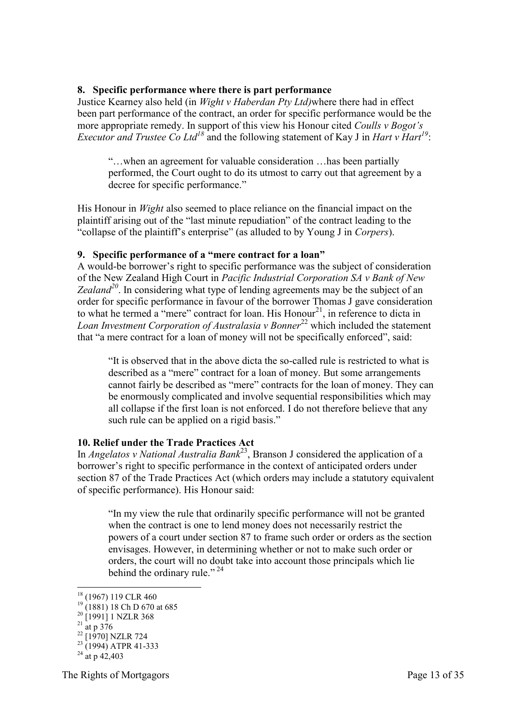#### <span id="page-12-0"></span>**8. Specific performance where there is part performance**

Justice Kearney also held (in *Wight v Haberdan Pty Ltd)*where there had in effect been part performance of the contract, an order for specific performance would be the more appropriate remedy. In support of this view his Honour cited *Coulls v Bogot's Executor and Trustee Co Ltd<sup>18</sup>* and the following statement of Kay J in *Hart v Hart<sup>19</sup>*:

"…when an agreement for valuable consideration …has been partially performed, the Court ought to do its utmost to carry out that agreement by a decree for specific performance."

His Honour in *Wight* also seemed to place reliance on the financial impact on the plaintiff arising out of the "last minute repudiation" of the contract leading to the "collapse of the plaintiff's enterprise" (as alluded to by Young J in *Corpers*).

#### <span id="page-12-1"></span>**9. Specific performance of a "mere contract for a loan"**

A would-be borrower's right to specific performance was the subject of consideration of the New Zealand High Court in *Pacific Industrial Corporation SA v Bank of New Zealand<sup>20</sup>*. In considering what type of lending agreements may be the subject of an order for specific performance in favour of the borrower Thomas J gave consideration to what he termed a "mere" contract for loan. His  $Homur<sup>21</sup>$ , in reference to dicta in *Loan Investment Corporation of Australasia v Bonner*<sup>22</sup> which included the statement that "a mere contract for a loan of money will not be specifically enforced", said:

"It is observed that in the above dicta the so-called rule is restricted to what is described as a "mere" contract for a loan of money. But some arrangements cannot fairly be described as "mere" contracts for the loan of money. They can be enormously complicated and involve sequential responsibilities which may all collapse if the first loan is not enforced. I do not therefore believe that any such rule can be applied on a rigid basis."

#### <span id="page-12-2"></span>**10. Relief under the Trade Practices Act**

In *Angelatos v National Australia Bank*<sup>23</sup>, Branson J considered the application of a borrower's right to specific performance in the context of anticipated orders under section 87 of the Trade Practices Act (which orders may include a statutory equivalent of specific performance). His Honour said:

"In my view the rule that ordinarily specific performance will not be granted when the contract is one to lend money does not necessarily restrict the powers of a court under section 87 to frame such order or orders as the section envisages. However, in determining whether or not to make such order or orders, the court will no doubt take into account those principals which lie behind the ordinary rule."<sup>24</sup>

The Rights of Mortgagors Page 13 of 35

<sup>&</sup>lt;u>.</u> <sup>18</sup> (1967) 119 CLR 460

 $^{19}$  (1881) 18 Ch D 670 at 685

 $^{20}$  [1991] 1 NZLR 368

 $^{21}$  at p 376

 $^{22}$  [1970] NZLR 724

 $^{23}$  (1994) ATPR 41-333

 $^{24}$  at p 42,403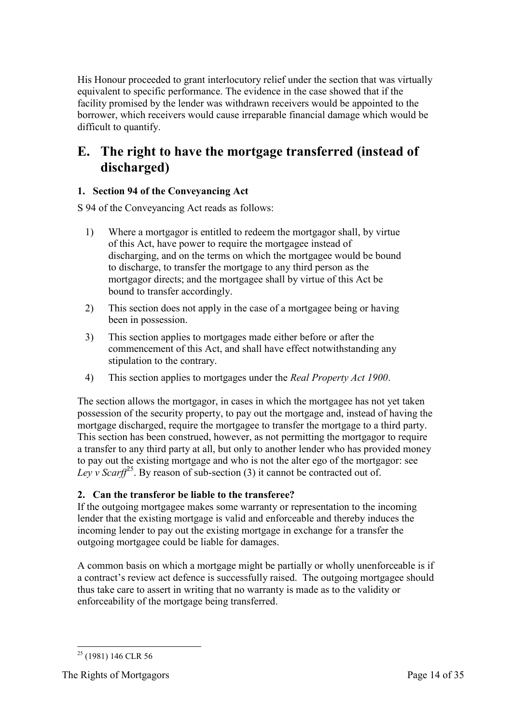His Honour proceeded to grant interlocutory relief under the section that was virtually equivalent to specific performance. The evidence in the case showed that if the facility promised by the lender was withdrawn receivers would be appointed to the borrower, which receivers would cause irreparable financial damage which would be difficult to quantify.

# <span id="page-13-0"></span>**E. The right to have the mortgage transferred (instead of discharged)**

#### <span id="page-13-1"></span>**1. Section 94 of the Conveyancing Act**

S 94 of the Conveyancing Act reads as follows:

- 1) Where a mortgagor is entitled to redeem the mortgagor shall, by virtue of this Act, have power to require the mortgagee instead of discharging, and on the terms on which the mortgagee would be bound to discharge, to transfer the mortgage to any third person as the mortgagor directs; and the mortgagee shall by virtue of this Act be bound to transfer accordingly.
- 2) This section does not apply in the case of a mortgagee being or having been in possession.
- 3) This section applies to mortgages made either before or after the commencement of this Act, and shall have effect notwithstanding any stipulation to the contrary.
- 4) This section applies to mortgages under the *Real Property Act 1900*.

The section allows the mortgagor, in cases in which the mortgagee has not yet taken possession of the security property, to pay out the mortgage and, instead of having the mortgage discharged, require the mortgagee to transfer the mortgage to a third party. This section has been construed, however, as not permitting the mortgagor to require a transfer to any third party at all, but only to another lender who has provided money to pay out the existing mortgage and who is not the alter ego of the mortgagor: see *Ley v Scarff*<sup>25</sup>. By reason of sub-section (3) it cannot be contracted out of.

#### <span id="page-13-2"></span>**2. Can the transferor be liable to the transferee?**

If the outgoing mortgagee makes some warranty or representation to the incoming lender that the existing mortgage is valid and enforceable and thereby induces the incoming lender to pay out the existing mortgage in exchange for a transfer the outgoing mortgagee could be liable for damages.

A common basis on which a mortgage might be partially or wholly unenforceable is if a contract's review act defence is successfully raised. The outgoing mortgagee should thus take care to assert in writing that no warranty is made as to the validity or enforceability of the mortgage being transferred.

<sup>-</sup> $25$  (1981) 146 CLR 56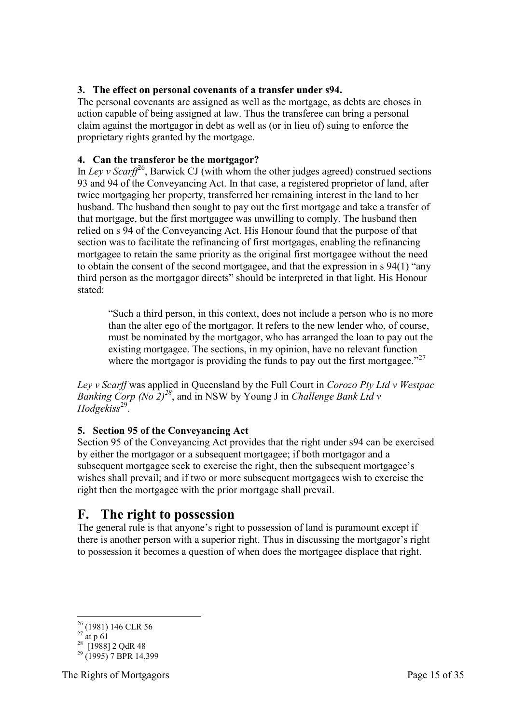#### <span id="page-14-0"></span>**3. The effect on personal covenants of a transfer under s94.**

The personal covenants are assigned as well as the mortgage, as debts are choses in action capable of being assigned at law. Thus the transferee can bring a personal claim against the mortgagor in debt as well as (or in lieu of) suing to enforce the proprietary rights granted by the mortgage.

#### <span id="page-14-1"></span>**4. Can the transferor be the mortgagor?**

In *Ley v Scarff*<sup>26</sup>, Barwick CJ (with whom the other judges agreed) construed sections 93 and 94 of the Conveyancing Act. In that case, a registered proprietor of land, after twice mortgaging her property, transferred her remaining interest in the land to her husband. The husband then sought to pay out the first mortgage and take a transfer of that mortgage, but the first mortgagee was unwilling to comply. The husband then relied on s 94 of the Conveyancing Act. His Honour found that the purpose of that section was to facilitate the refinancing of first mortgages, enabling the refinancing mortgagee to retain the same priority as the original first mortgagee without the need to obtain the consent of the second mortgagee, and that the expression in s 94(1) "any third person as the mortgagor directs" should be interpreted in that light. His Honour stated:

"Such a third person, in this context, does not include a person who is no more than the alter ego of the mortgagor. It refers to the new lender who, of course, must be nominated by the mortgagor, who has arranged the loan to pay out the existing mortgagee. The sections, in my opinion, have no relevant function where the mortgagor is providing the funds to pay out the first mortgagee." $^{27}$ 

*Ley v Scarff* was applied in Queensland by the Full Court in *Corozo Pty Ltd v Westpac Banking Corp (No 2)<sup>28</sup>*, and in NSW by Young J in *Challenge Bank Ltd v Hodgekiss*<sup>29</sup> .

#### <span id="page-14-2"></span>**5. Section 95 of the Conveyancing Act**

Section 95 of the Conveyancing Act provides that the right under s94 can be exercised by either the mortgagor or a subsequent mortgagee; if both mortgagor and a subsequent mortgagee seek to exercise the right, then the subsequent mortgagee's wishes shall prevail; and if two or more subsequent mortgagees wish to exercise the right then the mortgagee with the prior mortgage shall prevail.

### <span id="page-14-3"></span>**F. The right to possession**

The general rule is that anyone's right to possession of land is paramount except if there is another person with a superior right. Thus in discussing the mortgagor's right to possession it becomes a question of when does the mortgagee displace that right.

-

 $26$  (1981) 146 CLR 56

 $^{27}$  at p 61

<sup>&</sup>lt;sup>28</sup> [1988] 2 QdR 48

 $29$  (1995) 7 BPR 14,399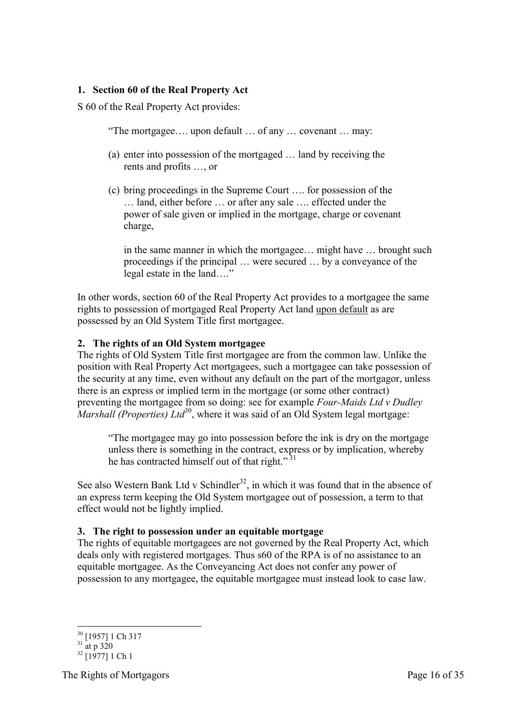#### <span id="page-15-0"></span>**1. Section 60 of the Real Property Act**

S 60 of the Real Property Act provides:

"The mortgagee…. upon default … of any … covenant … may:

- (a) enter into possession of the mortgaged … land by receiving the rents and profits …, or
- (c) bring proceedings in the Supreme Court …. for possession of the … land, either before … or after any sale …. effected under the power of sale given or implied in the mortgage, charge or covenant charge,

in the same manner in which the mortgagee… might have … brought such proceedings if the principal … were secured … by a conveyance of the legal estate in the land…."

In other words, section 60 of the Real Property Act provides to a mortgagee the same rights to possession of mortgaged Real Property Act land upon default as are possessed by an Old System Title first mortgagee.

#### <span id="page-15-1"></span>**2. The rights of an Old System mortgagee**

The rights of Old System Title first mortgagee are from the common law. Unlike the position with Real Property Act mortgagees, such a mortgagee can take possession of the security at any time, even without any default on the part of the mortgagor, unless there is an express or implied term in the mortgage (or some other contract) preventing the mortgagee from so doing: see for example *Four-Maids Ltd v Dudley Marshall (Properties) Ltd*<sup>30</sup>, where it was said of an Old System legal mortgage:

"The mortgagee may go into possession before the ink is dry on the mortgage unless there is something in the contract, express or by implication, whereby he has contracted himself out of that right."<sup>31</sup>

See also Western Bank Ltd v Schindler<sup>32</sup>, in which it was found that in the absence of an express term keeping the Old System mortgagee out of possession, a term to that effect would not be lightly implied.

#### <span id="page-15-2"></span>**3. The right to possession under an equitable mortgage**

The rights of equitable mortgagees are not governed by the Real Property Act, which deals only with registered mortgages. Thus s60 of the RPA is of no assistance to an equitable mortgagee. As the Conveyancing Act does not confer any power of possession to any mortgagee, the equitable mortgagee must instead look to case law.

-

The Rights of Mortgagors **Page 16 of 35** 

<sup>30</sup> [1957] 1 Ch 317

 $31 \frac{11}{21}$  at p 320

 $32$  [1977] 1 Ch 1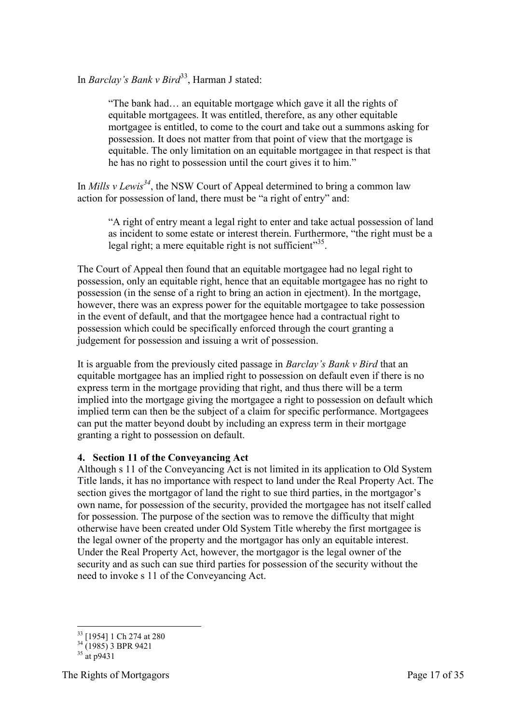In *Barclay's Bank v Bird*<sup>33</sup>, Harman J stated:

"The bank had… an equitable mortgage which gave it all the rights of equitable mortgagees. It was entitled, therefore, as any other equitable mortgagee is entitled, to come to the court and take out a summons asking for possession. It does not matter from that point of view that the mortgage is equitable. The only limitation on an equitable mortgagee in that respect is that he has no right to possession until the court gives it to him."

In *Mills v Lewis<sup>34</sup>*, the NSW Court of Appeal determined to bring a common law action for possession of land, there must be "a right of entry" and:

"A right of entry meant a legal right to enter and take actual possession of land as incident to some estate or interest therein. Furthermore, "the right must be a legal right; a mere equitable right is not sufficient"<sup>35</sup>.

The Court of Appeal then found that an equitable mortgagee had no legal right to possession, only an equitable right, hence that an equitable mortgagee has no right to possession (in the sense of a right to bring an action in ejectment). In the mortgage, however, there was an express power for the equitable mortgagee to take possession in the event of default, and that the mortgagee hence had a contractual right to possession which could be specifically enforced through the court granting a judgement for possession and issuing a writ of possession.

It is arguable from the previously cited passage in *Barclay's Bank v Bird* that an equitable mortgagee has an implied right to possession on default even if there is no express term in the mortgage providing that right, and thus there will be a term implied into the mortgage giving the mortgagee a right to possession on default which implied term can then be the subject of a claim for specific performance. Mortgagees can put the matter beyond doubt by including an express term in their mortgage granting a right to possession on default.

#### <span id="page-16-0"></span>**4. Section 11 of the Conveyancing Act**

Although s 11 of the Conveyancing Act is not limited in its application to Old System Title lands, it has no importance with respect to land under the Real Property Act. The section gives the mortgagor of land the right to sue third parties, in the mortgagor's own name, for possession of the security, provided the mortgagee has not itself called for possession. The purpose of the section was to remove the difficulty that might otherwise have been created under Old System Title whereby the first mortgagee is the legal owner of the property and the mortgagor has only an equitable interest. Under the Real Property Act, however, the mortgagor is the legal owner of the security and as such can sue third parties for possession of the security without the need to invoke s 11 of the Conveyancing Act.

-

<sup>&</sup>lt;sup>33</sup> [1954] 1 Ch 274 at 280

 $34(1985)$  3 BPR 9421

 $35$  at p9431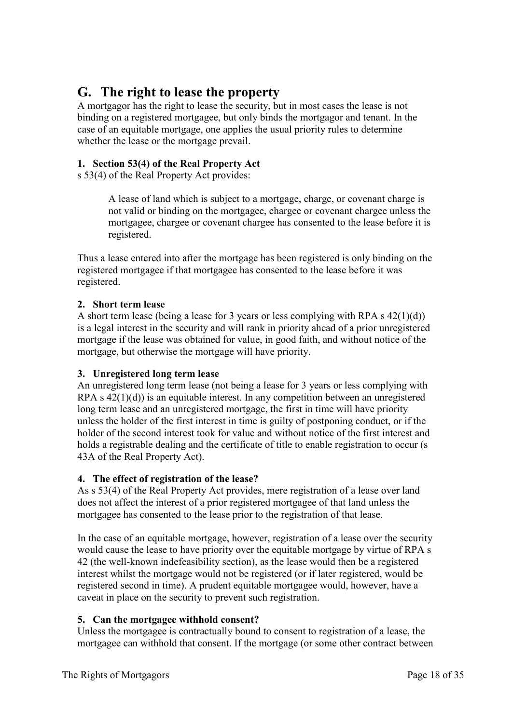### <span id="page-17-0"></span>**G. The right to lease the property**

A mortgagor has the right to lease the security, but in most cases the lease is not binding on a registered mortgagee, but only binds the mortgagor and tenant. In the case of an equitable mortgage, one applies the usual priority rules to determine whether the lease or the mortgage prevail.

#### <span id="page-17-1"></span>**1. Section 53(4) of the Real Property Act**

s 53(4) of the Real Property Act provides:

A lease of land which is subject to a mortgage, charge, or covenant charge is not valid or binding on the mortgagee, chargee or covenant chargee unless the mortgagee, chargee or covenant chargee has consented to the lease before it is registered.

Thus a lease entered into after the mortgage has been registered is only binding on the registered mortgagee if that mortgagee has consented to the lease before it was registered.

#### <span id="page-17-2"></span>**2. Short term lease**

A short term lease (being a lease for 3 years or less complying with RPA s 42(1)(d)) is a legal interest in the security and will rank in priority ahead of a prior unregistered mortgage if the lease was obtained for value, in good faith, and without notice of the mortgage, but otherwise the mortgage will have priority.

#### <span id="page-17-3"></span>**3. Unregistered long term lease**

An unregistered long term lease (not being a lease for 3 years or less complying with RPA s 42(1)(d)) is an equitable interest. In any competition between an unregistered long term lease and an unregistered mortgage, the first in time will have priority unless the holder of the first interest in time is guilty of postponing conduct, or if the holder of the second interest took for value and without notice of the first interest and holds a registrable dealing and the certificate of title to enable registration to occur (s 43A of the Real Property Act).

#### <span id="page-17-4"></span>**4. The effect of registration of the lease?**

As s 53(4) of the Real Property Act provides, mere registration of a lease over land does not affect the interest of a prior registered mortgagee of that land unless the mortgagee has consented to the lease prior to the registration of that lease.

In the case of an equitable mortgage, however, registration of a lease over the security would cause the lease to have priority over the equitable mortgage by virtue of RPA s 42 (the well-known indefeasibility section), as the lease would then be a registered interest whilst the mortgage would not be registered (or if later registered, would be registered second in time). A prudent equitable mortgagee would, however, have a caveat in place on the security to prevent such registration.

#### <span id="page-17-5"></span>**5. Can the mortgagee withhold consent?**

Unless the mortgagee is contractually bound to consent to registration of a lease, the mortgagee can withhold that consent. If the mortgage (or some other contract between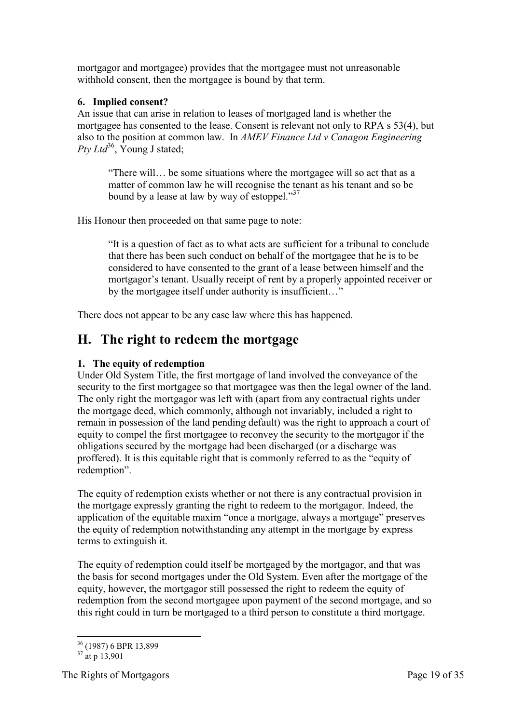mortgagor and mortgagee) provides that the mortgagee must not unreasonable withhold consent, then the mortgagee is bound by that term.

#### <span id="page-18-0"></span>**6. Implied consent?**

An issue that can arise in relation to leases of mortgaged land is whether the mortgagee has consented to the lease. Consent is relevant not only to RPA s 53(4), but also to the position at common law. In *AMEV Finance Ltd v Canagon Engineering Pty Ltd*<sup>36</sup>, Young J stated;

"There will… be some situations where the mortgagee will so act that as a matter of common law he will recognise the tenant as his tenant and so be bound by a lease at law by way of estoppel."<sup>37</sup>

His Honour then proceeded on that same page to note:

"It is a question of fact as to what acts are sufficient for a tribunal to conclude that there has been such conduct on behalf of the mortgagee that he is to be considered to have consented to the grant of a lease between himself and the mortgagor's tenant. Usually receipt of rent by a properly appointed receiver or by the mortgagee itself under authority is insufficient…"

<span id="page-18-1"></span>There does not appear to be any case law where this has happened.

### **H. The right to redeem the mortgage**

#### <span id="page-18-2"></span>**1. The equity of redemption**

Under Old System Title, the first mortgage of land involved the conveyance of the security to the first mortgagee so that mortgagee was then the legal owner of the land. The only right the mortgagor was left with (apart from any contractual rights under the mortgage deed, which commonly, although not invariably, included a right to remain in possession of the land pending default) was the right to approach a court of equity to compel the first mortgagee to reconvey the security to the mortgagor if the obligations secured by the mortgage had been discharged (or a discharge was proffered). It is this equitable right that is commonly referred to as the "equity of redemption".

The equity of redemption exists whether or not there is any contractual provision in the mortgage expressly granting the right to redeem to the mortgagor. Indeed, the application of the equitable maxim "once a mortgage, always a mortgage" preserves the equity of redemption notwithstanding any attempt in the mortgage by express terms to extinguish it.

The equity of redemption could itself be mortgaged by the mortgagor, and that was the basis for second mortgages under the Old System. Even after the mortgage of the equity, however, the mortgagor still possessed the right to redeem the equity of redemption from the second mortgagee upon payment of the second mortgage, and so this right could in turn be mortgaged to a third person to constitute a third mortgage.

<sup>-</sup><sup>36</sup> (1987) 6 BPR 13,899

 $37 \frac{(1507)}{at}$  p 13,901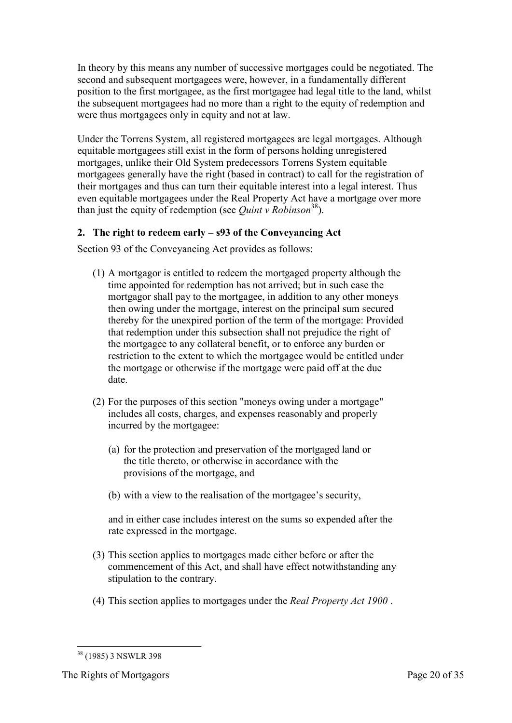In theory by this means any number of successive mortgages could be negotiated. The second and subsequent mortgagees were, however, in a fundamentally different position to the first mortgagee, as the first mortgagee had legal title to the land, whilst the subsequent mortgagees had no more than a right to the equity of redemption and were thus mortgagees only in equity and not at law.

Under the Torrens System, all registered mortgagees are legal mortgages. Although equitable mortgagees still exist in the form of persons holding unregistered mortgages, unlike their Old System predecessors Torrens System equitable mortgagees generally have the right (based in contract) to call for the registration of their mortgages and thus can turn their equitable interest into a legal interest. Thus even equitable mortgagees under the Real Property Act have a mortgage over more than just the equity of redemption (see *Quint v Robinson*<sup>38</sup>).

#### <span id="page-19-0"></span>**2. The right to redeem early – s93 of the Conveyancing Act**

Section 93 of the Conveyancing Act provides as follows:

- (1) A mortgagor is entitled to redeem the mortgaged property although the time appointed for redemption has not arrived; but in such case the mortgagor shall pay to the mortgagee, in addition to any other moneys then owing under the mortgage, interest on the principal sum secured thereby for the unexpired portion of the term of the mortgage: Provided that redemption under this subsection shall not prejudice the right of the mortgagee to any collateral benefit, or to enforce any burden or restriction to the extent to which the mortgagee would be entitled under the mortgage or otherwise if the mortgage were paid off at the due date.
- (2) For the purposes of this section "moneys owing under a mortgage" includes all costs, charges, and expenses reasonably and properly incurred by the mortgagee:
	- (a) for the protection and preservation of the mortgaged land or the title thereto, or otherwise in accordance with the provisions of the mortgage, and
	- (b) with a view to the realisation of the mortgagee's security,

and in either case includes interest on the sums so expended after the rate expressed in the mortgage.

- (3) This section applies to mortgages made either before or after the commencement of this Act, and shall have effect notwithstanding any stipulation to the contrary.
- (4) This section applies to mortgages under the *Real Property Act 1900* .

<sup>-</sup><sup>38</sup> (1985) 3 NSWLR 398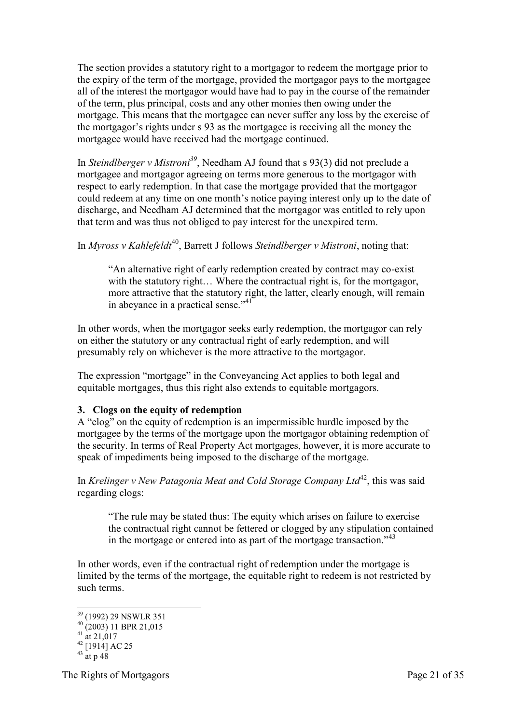The section provides a statutory right to a mortgagor to redeem the mortgage prior to the expiry of the term of the mortgage, provided the mortgagor pays to the mortgagee all of the interest the mortgagor would have had to pay in the course of the remainder of the term, plus principal, costs and any other monies then owing under the mortgage. This means that the mortgagee can never suffer any loss by the exercise of the mortgagor's rights under s 93 as the mortgagee is receiving all the money the mortgagee would have received had the mortgage continued.

In *Steindlberger v Mistroni<sup>39</sup>*, Needham AJ found that s 93(3) did not preclude a mortgagee and mortgagor agreeing on terms more generous to the mortgagor with respect to early redemption. In that case the mortgage provided that the mortgagor could redeem at any time on one month's notice paying interest only up to the date of discharge, and Needham AJ determined that the mortgagor was entitled to rely upon that term and was thus not obliged to pay interest for the unexpired term.

In *Myross v Kahlefeldt*<sup>40</sup>, Barrett J follows *Steindlberger v Mistroni*, noting that:

"An alternative right of early redemption created by contract may co-exist with the statutory right... Where the contractual right is, for the mortgagor, more attractive that the statutory right, the latter, clearly enough, will remain in abeyance in a practical sense."<sup>41</sup>

In other words, when the mortgagor seeks early redemption, the mortgagor can rely on either the statutory or any contractual right of early redemption, and will presumably rely on whichever is the more attractive to the mortgagor.

The expression "mortgage" in the Conveyancing Act applies to both legal and equitable mortgages, thus this right also extends to equitable mortgagors.

#### <span id="page-20-0"></span>**3. Clogs on the equity of redemption**

A "clog" on the equity of redemption is an impermissible hurdle imposed by the mortgagee by the terms of the mortgage upon the mortgagor obtaining redemption of the security. In terms of Real Property Act mortgages, however, it is more accurate to speak of impediments being imposed to the discharge of the mortgage.

In *Krelinger v New Patagonia Meat and Cold Storage Company Ltd*<sup>42</sup>, this was said regarding clogs:

"The rule may be stated thus: The equity which arises on failure to exercise the contractual right cannot be fettered or clogged by any stipulation contained in the mortgage or entered into as part of the mortgage transaction."<sup>43</sup>

In other words, even if the contractual right of redemption under the mortgage is limited by the terms of the mortgage, the equitable right to redeem is not restricted by such terms.

-

The Rights of Mortgagors Page 21 of 35

<sup>&</sup>lt;sup>39</sup> (1992) 29 NSWLR 351

 $^{40}$  (2003) 11 BPR 21,015

 $41 \frac{(2003)}{at}$  21,017

 $42$  [1914] AC 25

 $43$  at p 48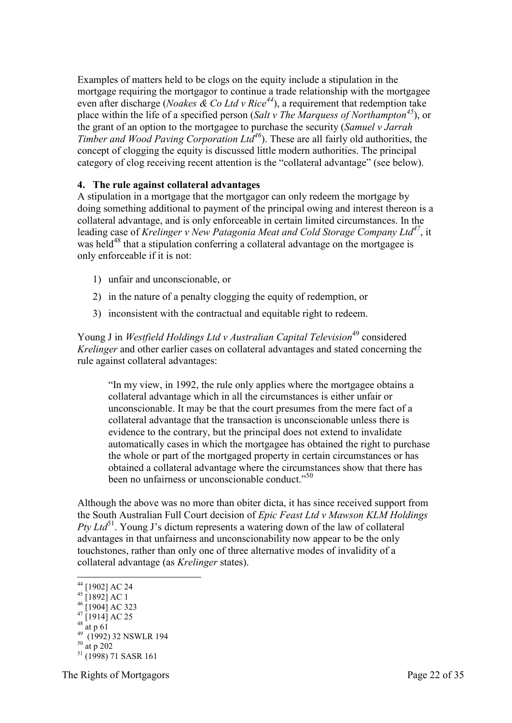Examples of matters held to be clogs on the equity include a stipulation in the mortgage requiring the mortgagor to continue a trade relationship with the mortgagee even after discharge (*Noakes & Co Ltd v Rice<sup>44</sup>*), a requirement that redemption take place within the life of a specified person (*Salt v The Marquess of Northampton<sup>45</sup>*), or the grant of an option to the mortgagee to purchase the security (*Samuel v Jarrah Timber and Wood Paving Corporation Ltd<sup>46</sup>*). These are all fairly old authorities, the concept of clogging the equity is discussed little modern authorities. The principal category of clog receiving recent attention is the "collateral advantage" (see below).

#### <span id="page-21-0"></span>**4. The rule against collateral advantages**

A stipulation in a mortgage that the mortgagor can only redeem the mortgage by doing something additional to payment of the principal owing and interest thereon is a collateral advantage, and is only enforceable in certain limited circumstances. In the leading case of *Krelinger v New Patagonia Meat and Cold Storage Company Ltd<sup>47</sup>*, it was held<sup>48</sup> that a stipulation conferring a collateral advantage on the mortgagee is only enforceable if it is not:

- 1) unfair and unconscionable, or
- 2) in the nature of a penalty clogging the equity of redemption, or
- 3) inconsistent with the contractual and equitable right to redeem.

Young J in *Westfield Holdings Ltd v Australian Capital Television*<sup>49</sup> considered *Krelinger* and other earlier cases on collateral advantages and stated concerning the rule against collateral advantages:

"In my view, in 1992, the rule only applies where the mortgagee obtains a collateral advantage which in all the circumstances is either unfair or unconscionable. It may be that the court presumes from the mere fact of a collateral advantage that the transaction is unconscionable unless there is evidence to the contrary, but the principal does not extend to invalidate automatically cases in which the mortgagee has obtained the right to purchase the whole or part of the mortgaged property in certain circumstances or has obtained a collateral advantage where the circumstances show that there has been no unfairness or unconscionable conduct."<sup>50</sup>

Although the above was no more than obiter dicta, it has since received support from the South Australian Full Court decision of *Epic Feast Ltd v Mawson KLM Holdings Pty Ltd*<sup>51</sup>. Young J's dictum represents a watering down of the law of collateral advantages in that unfairness and unconscionability now appear to be the only touchstones, rather than only one of three alternative modes of invalidity of a collateral advantage (as *Krelinger* states).

- $48 \frac{11}{10} + 61$
- 

The Rights of Mortgagors Page 22 of 35

<sup>-</sup><sup>44</sup> [1902] AC 24

 $^{45}$  [1892] AC 1

 $^{46}$  [1904] AC 323  $47$  [1914] AC 25

<sup>49</sup> (1992) 32 NSWLR 194  $^{50}$  at p 202

 $51$  (1998) 71 SASR 161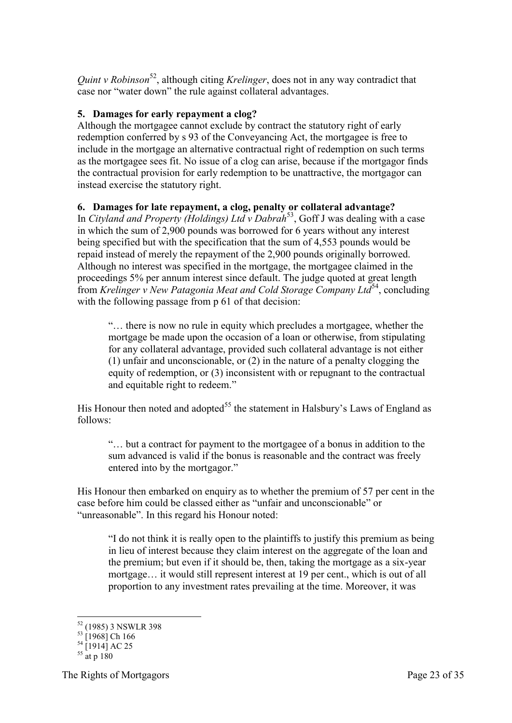*Quint v Robinson*<sup>52</sup>, although citing *Krelinger*, does not in any way contradict that case nor "water down" the rule against collateral advantages.

#### <span id="page-22-0"></span>**5. Damages for early repayment a clog?**

Although the mortgagee cannot exclude by contract the statutory right of early redemption conferred by s 93 of the Conveyancing Act, the mortgagee is free to include in the mortgage an alternative contractual right of redemption on such terms as the mortgagee sees fit. No issue of a clog can arise, because if the mortgagor finds the contractual provision for early redemption to be unattractive, the mortgagor can instead exercise the statutory right.

#### <span id="page-22-1"></span>**6. Damages for late repayment, a clog, penalty or collateral advantage?**

In *Cityland and Property (Holdings) Ltd v Dabrah*<sup>53</sup>, Goff J was dealing with a case in which the sum of 2,900 pounds was borrowed for 6 years without any interest being specified but with the specification that the sum of 4,553 pounds would be repaid instead of merely the repayment of the 2,900 pounds originally borrowed. Although no interest was specified in the mortgage, the mortgagee claimed in the proceedings 5% per annum interest since default. The judge quoted at great length from *Krelinger v New Patagonia Meat and Cold Storage Company Ltd*<sup>54</sup>, concluding with the following passage from p 61 of that decision:

"… there is now no rule in equity which precludes a mortgagee, whether the mortgage be made upon the occasion of a loan or otherwise, from stipulating for any collateral advantage, provided such collateral advantage is not either (1) unfair and unconscionable, or (2) in the nature of a penalty clogging the equity of redemption, or (3) inconsistent with or repugnant to the contractual and equitable right to redeem."

His Honour then noted and adopted<sup>55</sup> the statement in Halsbury's Laws of England as follows:

"… but a contract for payment to the mortgagee of a bonus in addition to the sum advanced is valid if the bonus is reasonable and the contract was freely entered into by the mortgagor."

His Honour then embarked on enquiry as to whether the premium of 57 per cent in the case before him could be classed either as "unfair and unconscionable" or "unreasonable". In this regard his Honour noted:

"I do not think it is really open to the plaintiffs to justify this premium as being in lieu of interest because they claim interest on the aggregate of the loan and the premium; but even if it should be, then, taking the mortgage as a six-year mortgage… it would still represent interest at 19 per cent., which is out of all proportion to any investment rates prevailing at the time. Moreover, it was

-

<sup>&</sup>lt;sup>52</sup> (1985) 3 NSWLR 398

 $^{53}$  [1968] Ch 166

 $^{54}$  [1914] AC 25

 $^{55}$  at p 180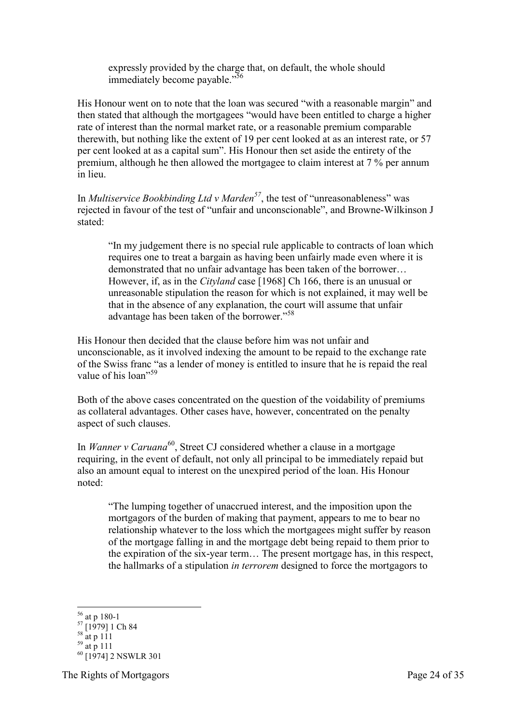expressly provided by the charge that, on default, the whole should immediately become payable."<sup>56</sup>

His Honour went on to note that the loan was secured "with a reasonable margin" and then stated that although the mortgagees "would have been entitled to charge a higher rate of interest than the normal market rate, or a reasonable premium comparable therewith, but nothing like the extent of 19 per cent looked at as an interest rate, or 57 per cent looked at as a capital sum". His Honour then set aside the entirety of the premium, although he then allowed the mortgagee to claim interest at 7 % per annum in lieu.

In *Multiservice Bookbinding Ltd v Marden<sup>57</sup>*, the test of "unreasonableness" was rejected in favour of the test of "unfair and unconscionable", and Browne-Wilkinson J stated:

"In my judgement there is no special rule applicable to contracts of loan which requires one to treat a bargain as having been unfairly made even where it is demonstrated that no unfair advantage has been taken of the borrower… However, if, as in the *Cityland* case [1968] Ch 166, there is an unusual or unreasonable stipulation the reason for which is not explained, it may well be that in the absence of any explanation, the court will assume that unfair advantage has been taken of the borrower."<sup>58</sup>

His Honour then decided that the clause before him was not unfair and unconscionable, as it involved indexing the amount to be repaid to the exchange rate of the Swiss franc "as a lender of money is entitled to insure that he is repaid the real value of his loan"<sup>59</sup>

Both of the above cases concentrated on the question of the voidability of premiums as collateral advantages. Other cases have, however, concentrated on the penalty aspect of such clauses.

In *Wanner v Caruana*<sup>60</sup>, Street CJ considered whether a clause in a mortgage requiring, in the event of default, not only all principal to be immediately repaid but also an amount equal to interest on the unexpired period of the loan. His Honour noted:

"The lumping together of unaccrued interest, and the imposition upon the mortgagors of the burden of making that payment, appears to me to bear no relationship whatever to the loss which the mortgagees might suffer by reason of the mortgage falling in and the mortgage debt being repaid to them prior to the expiration of the six-year term… The present mortgage has, in this respect, the hallmarks of a stipulation *in terrorem* designed to force the mortgagors to

-<sup>56</sup> at p 180-1

<sup>57</sup> [1979] 1 Ch 84

 $58$  at p 111

 $^{59}$  at p 111

<sup>60</sup> [1974] 2 NSWLR 301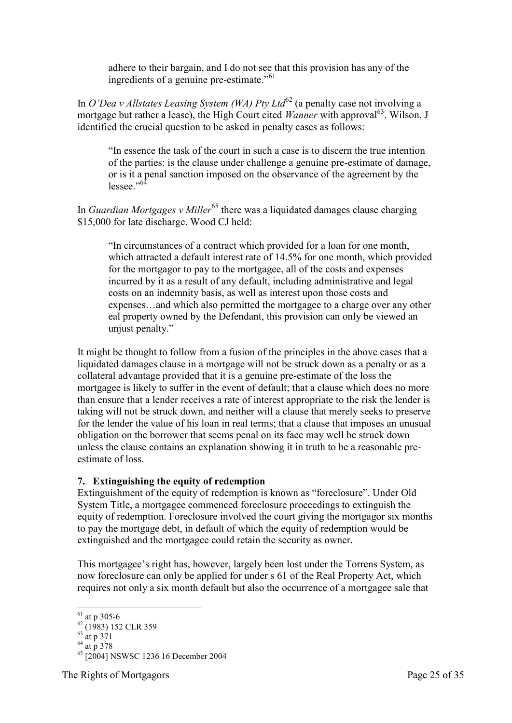adhere to their bargain, and I do not see that this provision has any of the ingredients of a genuine pre-estimate."<sup>61</sup>

In *O'Dea v Allstates Leasing System (WA) Pty Ltd*<sup>62</sup> (a penalty case not involving a mortgage but rather a lease), the High Court cited *Wanner* with approval<sup>63</sup>. Wilson, J identified the crucial question to be asked in penalty cases as follows:

"In essence the task of the court in such a case is to discern the true intention of the parties: is the clause under challenge a genuine pre-estimate of damage, or is it a penal sanction imposed on the observance of the agreement by the lessee."<sup>64</sup>

In *Guardian Mortgages v Miller*<sup>65</sup> there was a liquidated damages clause charging \$15,000 for late discharge. Wood CJ held:

"In circumstances of a contract which provided for a loan for one month, which attracted a default interest rate of 14.5% for one month, which provided for the mortgagor to pay to the mortgagee, all of the costs and expenses incurred by it as a result of any default, including administrative and legal costs on an indemnity basis, as well as interest upon those costs and expenses…and which also permitted the mortgagee to a charge over any other eal property owned by the Defendant, this provision can only be viewed an unjust penalty."

It might be thought to follow from a fusion of the principles in the above cases that a liquidated damages clause in a mortgage will not be struck down as a penalty or as a collateral advantage provided that it is a genuine pre-estimate of the loss the mortgagee is likely to suffer in the event of default; that a clause which does no more than ensure that a lender receives a rate of interest appropriate to the risk the lender is taking will not be struck down, and neither will a clause that merely seeks to preserve for the lender the value of his loan in real terms; that a clause that imposes an unusual obligation on the borrower that seems penal on its face may well be struck down unless the clause contains an explanation showing it in truth to be a reasonable preestimate of loss.

#### <span id="page-24-0"></span>**7. Extinguishing the equity of redemption**

Extinguishment of the equity of redemption is known as "foreclosure". Under Old System Title, a mortgagee commenced foreclosure proceedings to extinguish the equity of redemption. Foreclosure involved the court giving the mortgagor six months to pay the mortgage debt, in default of which the equity of redemption would be extinguished and the mortgagee could retain the security as owner.

This mortgagee's right has, however, largely been lost under the Torrens System, as now foreclosure can only be applied for under s 61 of the Real Property Act, which requires not only a six month default but also the occurrence of a mortgagee sale that

<sup>-</sup> $61$  at p 305-6

<sup>&</sup>lt;sup>62</sup> (1983) 152 CLR 359

 $63$  at p 371

 $64$  at p 378

<sup>&</sup>lt;sup>65</sup> [2004] NSWSC 1236 16 December 2004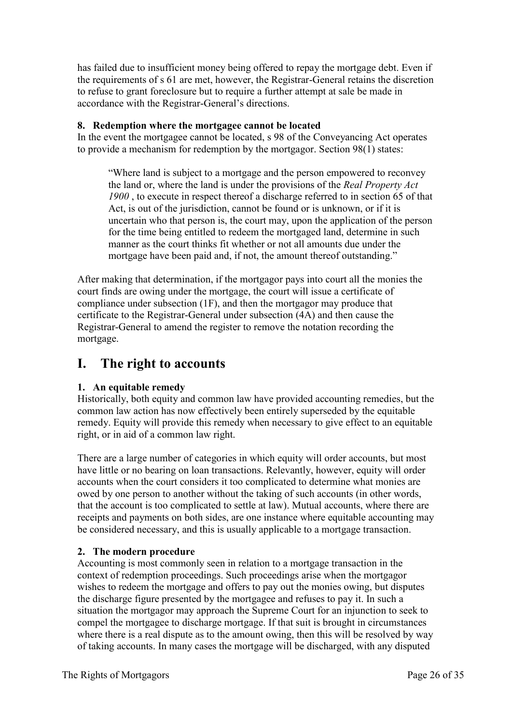has failed due to insufficient money being offered to repay the mortgage debt. Even if the requirements of s 61 are met, however, the Registrar-General retains the discretion to refuse to grant foreclosure but to require a further attempt at sale be made in accordance with the Registrar-General's directions.

#### <span id="page-25-0"></span>**8. Redemption where the mortgagee cannot be located**

In the event the mortgagee cannot be located, s 98 of the Conveyancing Act operates to provide a mechanism for redemption by the mortgagor. Section 98(1) states:

"Where land is subject to a mortgage and the person empowered to reconvey the land or, where the land is under the provisions of the *Real Property Act 1900* , to execute in respect thereof a discharge referred to in section 65 of that Act, is out of the jurisdiction, cannot be found or is unknown, or if it is uncertain who that person is, the court may, upon the application of the person for the time being entitled to redeem the mortgaged land, determine in such manner as the court thinks fit whether or not all amounts due under the mortgage have been paid and, if not, the amount thereof outstanding."

After making that determination, if the mortgagor pays into court all the monies the court finds are owing under the mortgage, the court will issue a certificate of compliance under subsection (1F), and then the mortgagor may produce that certificate to the Registrar-General under subsection (4A) and then cause the Registrar-General to amend the register to remove the notation recording the mortgage.

### <span id="page-25-1"></span>**I. The right to accounts**

#### <span id="page-25-2"></span>**1. An equitable remedy**

Historically, both equity and common law have provided accounting remedies, but the common law action has now effectively been entirely superseded by the equitable remedy. Equity will provide this remedy when necessary to give effect to an equitable right, or in aid of a common law right.

There are a large number of categories in which equity will order accounts, but most have little or no bearing on loan transactions. Relevantly, however, equity will order accounts when the court considers it too complicated to determine what monies are owed by one person to another without the taking of such accounts (in other words, that the account is too complicated to settle at law). Mutual accounts, where there are receipts and payments on both sides, are one instance where equitable accounting may be considered necessary, and this is usually applicable to a mortgage transaction.

#### <span id="page-25-3"></span>**2. The modern procedure**

Accounting is most commonly seen in relation to a mortgage transaction in the context of redemption proceedings. Such proceedings arise when the mortgagor wishes to redeem the mortgage and offers to pay out the monies owing, but disputes the discharge figure presented by the mortgagee and refuses to pay it. In such a situation the mortgagor may approach the Supreme Court for an injunction to seek to compel the mortgagee to discharge mortgage. If that suit is brought in circumstances where there is a real dispute as to the amount owing, then this will be resolved by way of taking accounts. In many cases the mortgage will be discharged, with any disputed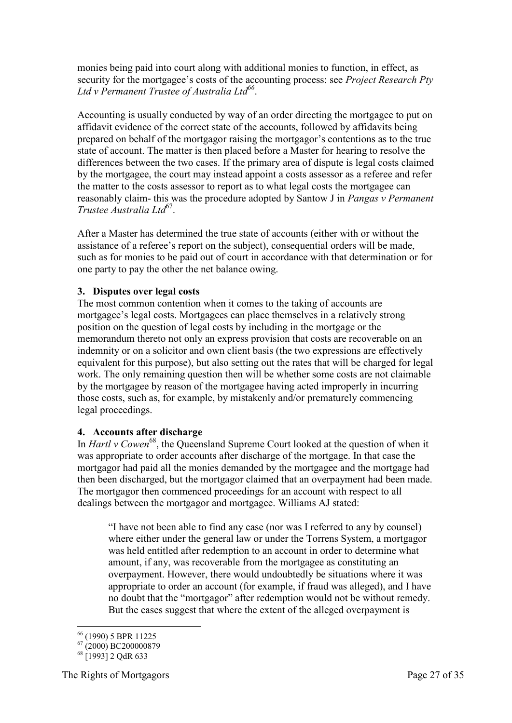monies being paid into court along with additional monies to function, in effect, as security for the mortgagee's costs of the accounting process: see *Project Research Pty Ltd v Permanent Trustee of Australia Ltd<sup>66</sup>* .

Accounting is usually conducted by way of an order directing the mortgagee to put on affidavit evidence of the correct state of the accounts, followed by affidavits being prepared on behalf of the mortgagor raising the mortgagor's contentions as to the true state of account. The matter is then placed before a Master for hearing to resolve the differences between the two cases. If the primary area of dispute is legal costs claimed by the mortgagee, the court may instead appoint a costs assessor as a referee and refer the matter to the costs assessor to report as to what legal costs the mortgagee can reasonably claim- this was the procedure adopted by Santow J in *Pangas v Permanent Trustee Australia Ltd*<sup>67</sup> .

After a Master has determined the true state of accounts (either with or without the assistance of a referee's report on the subject), consequential orders will be made, such as for monies to be paid out of court in accordance with that determination or for one party to pay the other the net balance owing.

#### <span id="page-26-0"></span>**3. Disputes over legal costs**

The most common contention when it comes to the taking of accounts are mortgagee's legal costs. Mortgagees can place themselves in a relatively strong position on the question of legal costs by including in the mortgage or the memorandum thereto not only an express provision that costs are recoverable on an indemnity or on a solicitor and own client basis (the two expressions are effectively equivalent for this purpose), but also setting out the rates that will be charged for legal work. The only remaining question then will be whether some costs are not claimable by the mortgagee by reason of the mortgagee having acted improperly in incurring those costs, such as, for example, by mistakenly and/or prematurely commencing legal proceedings.

#### <span id="page-26-1"></span>**4. Accounts after discharge**

In *Hartl v Cowen*<sup>68</sup>, the Queensland Supreme Court looked at the question of when it was appropriate to order accounts after discharge of the mortgage. In that case the mortgagor had paid all the monies demanded by the mortgagee and the mortgage had then been discharged, but the mortgagor claimed that an overpayment had been made. The mortgagor then commenced proceedings for an account with respect to all dealings between the mortgagor and mortgagee. Williams AJ stated:

"I have not been able to find any case (nor was I referred to any by counsel) where either under the general law or under the Torrens System, a mortgagor was held entitled after redemption to an account in order to determine what amount, if any, was recoverable from the mortgagee as constituting an overpayment. However, there would undoubtedly be situations where it was appropriate to order an account (for example, if fraud was alleged), and I have no doubt that the "mortgagor" after redemption would not be without remedy. But the cases suggest that where the extent of the alleged overpayment is

<sup>-</sup><sup>66</sup> (1990) 5 BPR 11225

 $^{67}$  (2000) BC200000879

 $68$  [1993] 2 OdR 633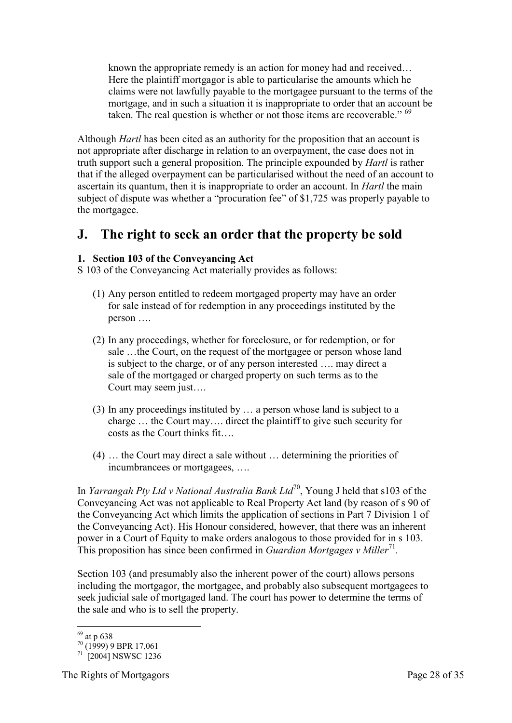known the appropriate remedy is an action for money had and received… Here the plaintiff mortgagor is able to particularise the amounts which he claims were not lawfully payable to the mortgagee pursuant to the terms of the mortgage, and in such a situation it is inappropriate to order that an account be taken. The real question is whether or not those items are recoverable." <sup>69</sup>

Although *Hartl* has been cited as an authority for the proposition that an account is not appropriate after discharge in relation to an overpayment, the case does not in truth support such a general proposition. The principle expounded by *Hartl* is rather that if the alleged overpayment can be particularised without the need of an account to ascertain its quantum, then it is inappropriate to order an account. In *Hartl* the main subject of dispute was whether a "procuration fee" of \$1,725 was properly payable to the mortgagee.

## <span id="page-27-0"></span>**J. The right to seek an order that the property be sold**

#### <span id="page-27-1"></span>**1. Section 103 of the Conveyancing Act**

S 103 of the Conveyancing Act materially provides as follows:

- (1) Any person entitled to redeem mortgaged property may have an order for sale instead of for redemption in any proceedings instituted by the person ….
- (2) In any proceedings, whether for foreclosure, or for redemption, or for sale …the Court, on the request of the mortgagee or person whose land is subject to the charge, or of any person interested …. may direct a sale of the mortgaged or charged property on such terms as to the Court may seem just….
- (3) In any proceedings instituted by … a person whose land is subject to a charge … the Court may…. direct the plaintiff to give such security for costs as the Court thinks fit….
- (4) … the Court may direct a sale without … determining the priorities of incumbrancees or mortgagees, ….

In *Yarrangah Pty Ltd v National Australia Bank Ltd*<sup>70</sup>, Young J held that s103 of the Conveyancing Act was not applicable to Real Property Act land (by reason of s 90 of the Conveyancing Act which limits the application of sections in Part 7 Division 1 of the Conveyancing Act). His Honour considered, however, that there was an inherent power in a Court of Equity to make orders analogous to those provided for in s 103. This proposition has since been confirmed in *Guardian Mortgages v Miller*<sup>71</sup>.

Section 103 (and presumably also the inherent power of the court) allows persons including the mortgagor, the mortgagee, and probably also subsequent mortgagees to seek judicial sale of mortgaged land. The court has power to determine the terms of the sale and who is to sell the property.

-

 $69$  at p 638

 $70^{a1}$  (1999) 9 BPR 17,061

<sup>71</sup> [2004] NSWSC 1236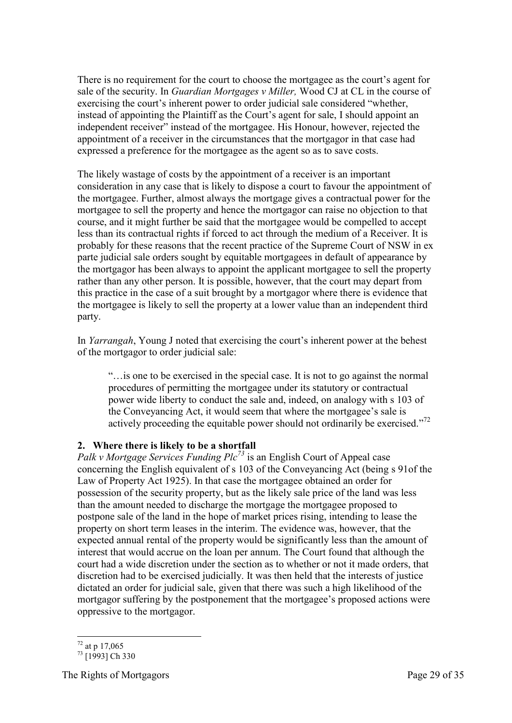There is no requirement for the court to choose the mortgagee as the court's agent for sale of the security. In *Guardian Mortgages v Miller,* Wood CJ at CL in the course of exercising the court's inherent power to order judicial sale considered "whether, instead of appointing the Plaintiff as the Court's agent for sale, I should appoint an independent receiver" instead of the mortgagee. His Honour, however, rejected the appointment of a receiver in the circumstances that the mortgagor in that case had expressed a preference for the mortgagee as the agent so as to save costs.

The likely wastage of costs by the appointment of a receiver is an important consideration in any case that is likely to dispose a court to favour the appointment of the mortgagee. Further, almost always the mortgage gives a contractual power for the mortgagee to sell the property and hence the mortgagor can raise no objection to that course, and it might further be said that the mortgagee would be compelled to accept less than its contractual rights if forced to act through the medium of a Receiver. It is probably for these reasons that the recent practice of the Supreme Court of NSW in ex parte judicial sale orders sought by equitable mortgagees in default of appearance by the mortgagor has been always to appoint the applicant mortgagee to sell the property rather than any other person. It is possible, however, that the court may depart from this practice in the case of a suit brought by a mortgagor where there is evidence that the mortgagee is likely to sell the property at a lower value than an independent third party.

In *Yarrangah*, Young J noted that exercising the court's inherent power at the behest of the mortgagor to order judicial sale:

"…is one to be exercised in the special case. It is not to go against the normal procedures of permitting the mortgagee under its statutory or contractual power wide liberty to conduct the sale and, indeed, on analogy with s 103 of the Conveyancing Act, it would seem that where the mortgagee's sale is actively proceeding the equitable power should not ordinarily be exercised."<sup>72</sup>

#### <span id="page-28-0"></span>**2. Where there is likely to be a shortfall**

*Palk v Mortgage Services Funding Plc<sup>73</sup>* is an English Court of Appeal case concerning the English equivalent of s 103 of the Conveyancing Act (being s 91of the Law of Property Act 1925). In that case the mortgagee obtained an order for possession of the security property, but as the likely sale price of the land was less than the amount needed to discharge the mortgage the mortgagee proposed to postpone sale of the land in the hope of market prices rising, intending to lease the property on short term leases in the interim. The evidence was, however, that the expected annual rental of the property would be significantly less than the amount of interest that would accrue on the loan per annum. The Court found that although the court had a wide discretion under the section as to whether or not it made orders, that discretion had to be exercised judicially. It was then held that the interests of justice dictated an order for judicial sale, given that there was such a high likelihood of the mortgagor suffering by the postponement that the mortgagee's proposed actions were oppressive to the mortgagor.

<sup>-</sup> $^{72}$  at p 17,065

 $73$  [1993] Ch 330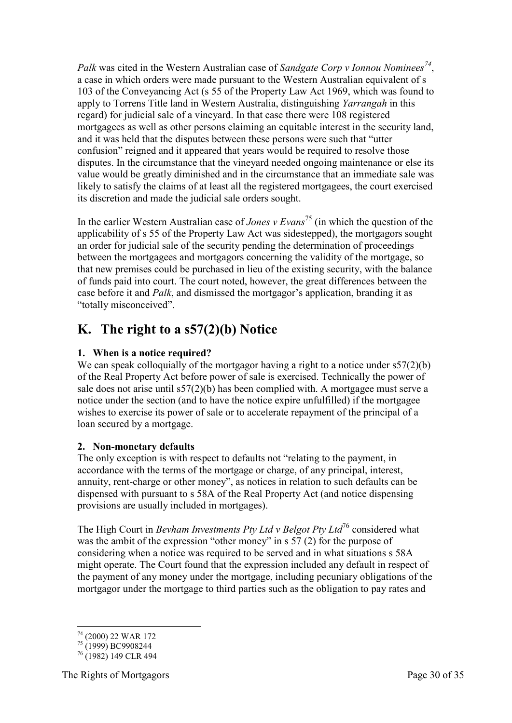*Palk* was cited in the Western Australian case of *Sandgate Corp v Ionnou Nominees<sup>74</sup>* , a case in which orders were made pursuant to the Western Australian equivalent of s 103 of the Conveyancing Act (s 55 of the Property Law Act 1969, which was found to apply to Torrens Title land in Western Australia, distinguishing *Yarrangah* in this regard) for judicial sale of a vineyard. In that case there were 108 registered mortgagees as well as other persons claiming an equitable interest in the security land, and it was held that the disputes between these persons were such that "utter confusion" reigned and it appeared that years would be required to resolve those disputes. In the circumstance that the vineyard needed ongoing maintenance or else its value would be greatly diminished and in the circumstance that an immediate sale was likely to satisfy the claims of at least all the registered mortgagees, the court exercised its discretion and made the judicial sale orders sought.

In the earlier Western Australian case of *Jones v Evans*<sup>75</sup> (in which the question of the applicability of s 55 of the Property Law Act was sidestepped), the mortgagors sought an order for judicial sale of the security pending the determination of proceedings between the mortgagees and mortgagors concerning the validity of the mortgage, so that new premises could be purchased in lieu of the existing security, with the balance of funds paid into court. The court noted, however, the great differences between the case before it and *Palk*, and dismissed the mortgagor's application, branding it as "totally misconceived".

# <span id="page-29-0"></span>**K. The right to a s57(2)(b) Notice**

#### <span id="page-29-1"></span>**1. When is a notice required?**

We can speak colloquially of the mortgagor having a right to a notice under s57(2)(b) of the Real Property Act before power of sale is exercised. Technically the power of sale does not arise until s57(2)(b) has been complied with. A mortgagee must serve a notice under the section (and to have the notice expire unfulfilled) if the mortgagee wishes to exercise its power of sale or to accelerate repayment of the principal of a loan secured by a mortgage.

#### <span id="page-29-2"></span>**2. Non-monetary defaults**

The only exception is with respect to defaults not "relating to the payment, in accordance with the terms of the mortgage or charge, of any principal, interest, annuity, rent-charge or other money", as notices in relation to such defaults can be dispensed with pursuant to s 58A of the Real Property Act (and notice dispensing provisions are usually included in mortgages).

The High Court in *Bevham Investments Pty Ltd v Belgot Pty Ltd*<sup>76</sup> considered what was the ambit of the expression "other money" in s 57 (2) for the purpose of considering when a notice was required to be served and in what situations s 58A might operate. The Court found that the expression included any default in respect of the payment of any money under the mortgage, including pecuniary obligations of the mortgagor under the mortgage to third parties such as the obligation to pay rates and

<sup>-</sup><sup>74</sup> (2000) 22 WAR 172

 $^{75}$  (1999) BC9908244

<sup>76</sup> (1982) 149 CLR 494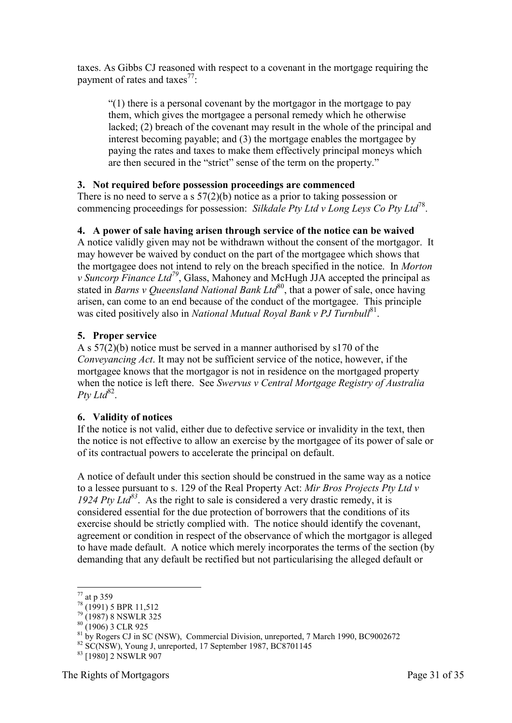taxes. As Gibbs CJ reasoned with respect to a covenant in the mortgage requiring the payment of rates and taxes<sup>77</sup>:

"(1) there is a personal covenant by the mortgagor in the mortgage to pay them, which gives the mortgagee a personal remedy which he otherwise lacked; (2) breach of the covenant may result in the whole of the principal and interest becoming payable; and (3) the mortgage enables the mortgagee by paying the rates and taxes to make them effectively principal moneys which are then secured in the "strict" sense of the term on the property."

#### <span id="page-30-0"></span>**3. Not required before possession proceedings are commenced**

There is no need to serve a s  $57(2)(b)$  notice as a prior to taking possession or commencing proceedings for possession: *Silkdale Pty Ltd v Long Leys Co Pty Ltd*<sup>78</sup> .

#### <span id="page-30-1"></span>**4. A power of sale having arisen through service of the notice can be waived**

A notice validly given may not be withdrawn without the consent of the mortgagor. It may however be waived by conduct on the part of the mortgagee which shows that the mortgagee does not intend to rely on the breach specified in the notice. In *Morton v Suncorp Finance Ltd<sup>79</sup>*, Glass, Mahoney and McHugh JJA accepted the principal as stated in *Barns v Queensland National Bank Ltd*<sup>80</sup>, that a power of sale, once having arisen, can come to an end because of the conduct of the mortgagee. This principle was cited positively also in *National Mutual Royal Bank v PJ Turnbull*<sup>81</sup>.

#### <span id="page-30-2"></span>**5. Proper service**

A s 57(2)(b) notice must be served in a manner authorised by s170 of the *Conveyancing Act*. It may not be sufficient service of the notice, however, if the mortgagee knows that the mortgagor is not in residence on the mortgaged property when the notice is left there. See *Swervus v Central Mortgage Registry of Australia*  Pty Ltd<sup>82</sup>.

#### <span id="page-30-3"></span>**6. Validity of notices**

If the notice is not valid, either due to defective service or invalidity in the text, then the notice is not effective to allow an exercise by the mortgagee of its power of sale or of its contractual powers to accelerate the principal on default.

A notice of default under this section should be construed in the same way as a notice to a lessee pursuant to s. 129 of the Real Property Act: *Mir Bros Projects Pty Ltd v 1924 Pty Ltd<sup>83</sup>*. As the right to sale is considered a very drastic remedy, it is considered essential for the due protection of borrowers that the conditions of its exercise should be strictly complied with. The notice should identify the covenant, agreement or condition in respect of the observance of which the mortgagor is alleged to have made default. A notice which merely incorporates the terms of the section (by demanding that any default be rectified but not particularising the alleged default or

<sup>&</sup>lt;u>.</u>  $^{77}$  at p 359

 $78^{a1}$  (1991) 5 BPR 11,512

 $^{79}$  (1987) 8 NSWLR 325

 $80 (1906)$  3 CLR 925

<sup>&</sup>lt;sup>81</sup> by Rogers CJ in SC (NSW), Commercial Division, unreported, 7 March 1990, BC9002672

 $82$  SC(NSW), Young J, unreported, 17 September 1987, BC8701145

<sup>&</sup>lt;sup>83</sup> [1980] 2 NSWLR 907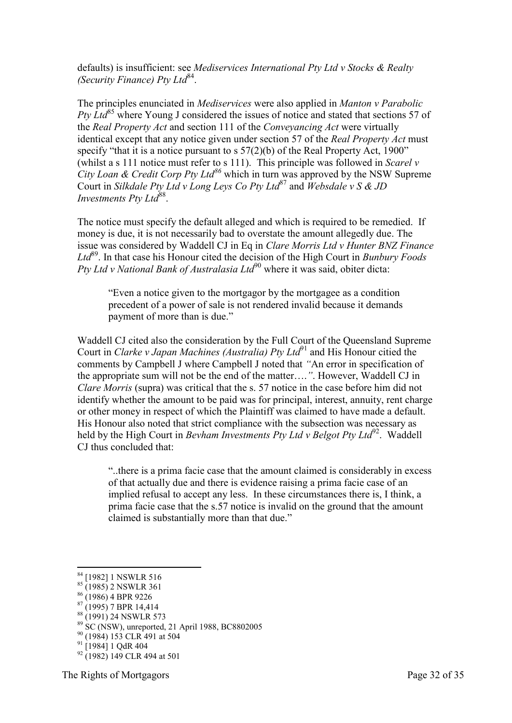defaults) is insufficient: see *Mediservices International Pty Ltd v Stocks & Realty (Security Finance) Pty Ltd*<sup>84</sup>.

The principles enunciated in *Mediservices* were also applied in *Manton v Parabolic Pty Ltd*<sup>85</sup> where Young J considered the issues of notice and stated that sections 57 of the *Real Property Act* and section 111 of the *Conveyancing Act* were virtually identical except that any notice given under section 57 of the *Real Property Act* must specify "that it is a notice pursuant to s  $57(2)(b)$  of the Real Property Act, 1900" (whilst a s 111 notice must refer to s 111). This principle was followed in *Scarel v City Loan & Credit Corp Pty Ltd<sup>86</sup>* which in turn was approved by the NSW Supreme Court in *Silkdale Pty Ltd v Long Leys Co Pty Ltd*<sup>87</sup> and *Websdale v S & JD Investments Pty Ltd*<sup>88</sup>.

The notice must specify the default alleged and which is required to be remedied. If money is due, it is not necessarily bad to overstate the amount allegedly due. The issue was considered by Waddell CJ in Eq in *Clare Morris Ltd v Hunter BNZ Finance Ltd*<sup>89</sup> . In that case his Honour cited the decision of the High Court in *Bunbury Foods Pty Ltd v National Bank of Australasia Ltd*<sup>90</sup> where it was said, obiter dicta:

"Even a notice given to the mortgagor by the mortgagee as a condition precedent of a power of sale is not rendered invalid because it demands payment of more than is due."

Waddell CJ cited also the consideration by the Full Court of the Queensland Supreme Court in *Clarke v Japan Machines (Australia) Pty Ltd*<sup>91</sup> and His Honour citied the comments by Campbell J where Campbell J noted that *"*An error in specification of the appropriate sum will not be the end of the matter….*"*. However, Waddell CJ in *Clare Morris* (supra) was critical that the s. 57 notice in the case before him did not identify whether the amount to be paid was for principal, interest, annuity, rent charge or other money in respect of which the Plaintiff was claimed to have made a default. His Honour also noted that strict compliance with the subsection was necessary as held by the High Court in *Bevham Investments Pty Ltd v Belgot Pty Ltd*<sup>92</sup>. Waddell CJ thus concluded that:

"..there is a prima facie case that the amount claimed is considerably in excess of that actually due and there is evidence raising a prima facie case of an implied refusal to accept any less. In these circumstances there is, I think, a prima facie case that the s.57 notice is invalid on the ground that the amount claimed is substantially more than that due."

-

<sup>&</sup>lt;sup>84</sup> [1982] 1 NSWLR 516

 $85 \frac{13821}{1385}$  2 NSWLR 361

 $86 (1986)$  4 BPR 9226

 $87 (1995)$  7 BPR 14,414

<sup>&</sup>lt;sup>88</sup> (1991) 24 NSWLR 573

<sup>89</sup> SC (NSW), unreported, 21 April 1988, BC8802005

<sup>&</sup>lt;sup>90</sup> (1984) 153 CLR 491 at 504

 $91$   $\overline{1984}$  1 QdR 404

 $92$  (1982) 149 CLR 494 at 501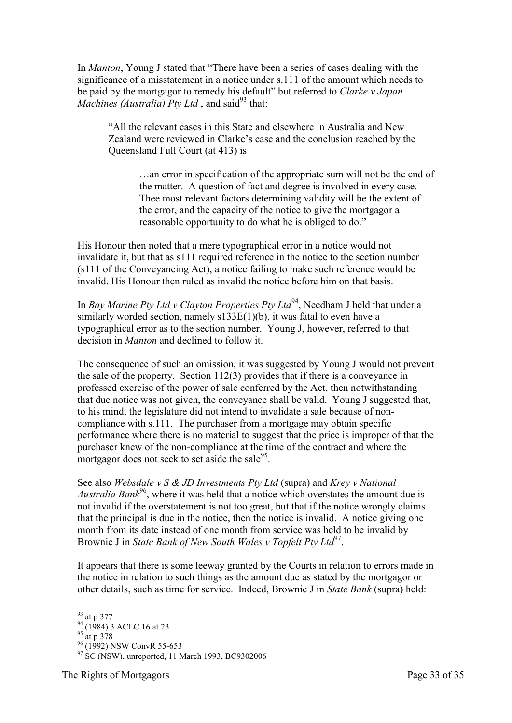In *Manton*, Young J stated that "There have been a series of cases dealing with the significance of a misstatement in a notice under s.111 of the amount which needs to be paid by the mortgagor to remedy his default" but referred to *Clarke v Japan Machines (Australia)*  $P$ *tv Ltd*, and said<sup>93</sup> that:

"All the relevant cases in this State and elsewhere in Australia and New Zealand were reviewed in Clarke's case and the conclusion reached by the Queensland Full Court (at 413) is

…an error in specification of the appropriate sum will not be the end of the matter. A question of fact and degree is involved in every case. Thee most relevant factors determining validity will be the extent of the error, and the capacity of the notice to give the mortgagor a reasonable opportunity to do what he is obliged to do."

His Honour then noted that a mere typographical error in a notice would not invalidate it, but that as s111 required reference in the notice to the section number (s111 of the Conveyancing Act), a notice failing to make such reference would be invalid. His Honour then ruled as invalid the notice before him on that basis.

In *Bay Marine Pty Ltd v Clayton Properties Pty Ltd*<sup>94</sup>, Needham J held that under a similarly worded section, namely s133E(1)(b), it was fatal to even have a typographical error as to the section number. Young J, however, referred to that decision in *Manton* and declined to follow it.

The consequence of such an omission, it was suggested by Young J would not prevent the sale of the property. Section 112(3) provides that if there is a conveyance in professed exercise of the power of sale conferred by the Act, then notwithstanding that due notice was not given, the conveyance shall be valid. Young J suggested that, to his mind, the legislature did not intend to invalidate a sale because of noncompliance with s.111. The purchaser from a mortgage may obtain specific performance where there is no material to suggest that the price is improper of that the purchaser knew of the non-compliance at the time of the contract and where the mortgagor does not seek to set aside the sale $95$ .

See also *Websdale v S & JD Investments Pty Ltd* (supra) and *Krey v National Australia Bank*<sup>96</sup>, where it was held that a notice which overstates the amount due is not invalid if the overstatement is not too great, but that if the notice wrongly claims that the principal is due in the notice, then the notice is invalid. A notice giving one month from its date instead of one month from service was held to be invalid by Brownie J in *State Bank of New South Wales v Topfelt Pty Ltd*<sup>97</sup>.

It appears that there is some leeway granted by the Courts in relation to errors made in the notice in relation to such things as the amount due as stated by the mortgagor or other details, such as time for service. Indeed, Brownie J in *State Bank* (supra) held:

<sup>-</sup><sup>93</sup> at p 377

 $^{94}$  (1984) 3 ACLC 16 at 23

 $95 \frac{(1)}{at p} 378$ 

 $^{96}$  (1992) NSW ConvR 55-653

 $97$  SC (NSW), unreported, 11 March 1993, BC9302006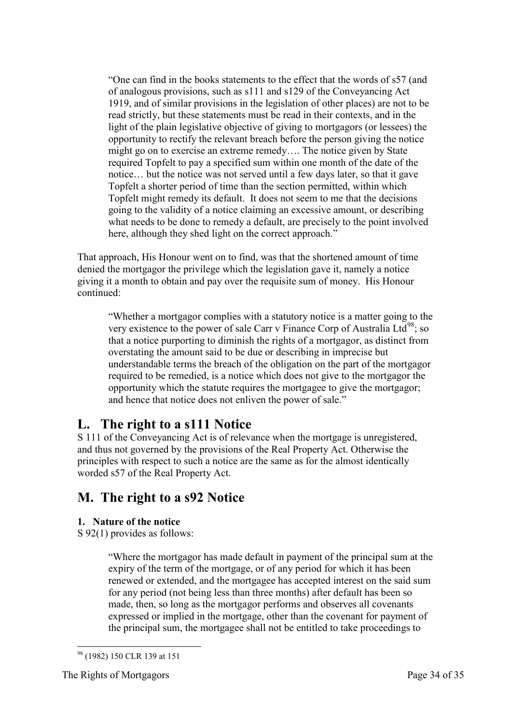"One can find in the books statements to the effect that the words of s57 (and of analogous provisions, such as s111 and s129 of the Conveyancing Act 1919, and of similar provisions in the legislation of other places) are not to be read strictly, but these statements must be read in their contexts, and in the light of the plain legislative objective of giving to mortgagors (or lessees) the opportunity to rectify the relevant breach before the person giving the notice might go on to exercise an extreme remedy…. The notice given by State required Topfelt to pay a specified sum within one month of the date of the notice… but the notice was not served until a few days later, so that it gave Topfelt a shorter period of time than the section permitted, within which Topfelt might remedy its default. It does not seem to me that the decisions going to the validity of a notice claiming an excessive amount, or describing what needs to be done to remedy a default, are precisely to the point involved here, although they shed light on the correct approach."

That approach, His Honour went on to find, was that the shortened amount of time denied the mortgagor the privilege which the legislation gave it, namely a notice giving it a month to obtain and pay over the requisite sum of money. His Honour continued:

"Whether a mortgagor complies with a statutory notice is a matter going to the very existence to the power of sale Carr v Finance Corp of Australia Ltd<sup>98</sup>; so that a notice purporting to diminish the rights of a mortgagor, as distinct from overstating the amount said to be due or describing in imprecise but understandable terms the breach of the obligation on the part of the mortgagor required to be remedied, is a notice which does not give to the mortgagor the opportunity which the statute requires the mortgagee to give the mortgagor; and hence that notice does not enliven the power of sale."

### <span id="page-33-0"></span>**L. The right to a s111 Notice**

S 111 of the Conveyancing Act is of relevance when the mortgage is unregistered, and thus not governed by the provisions of the Real Property Act. Otherwise the principles with respect to such a notice are the same as for the almost identically worded s57 of the Real Property Act.

### <span id="page-33-1"></span>**M. The right to a s92 Notice**

#### <span id="page-33-2"></span>**1. Nature of the notice**

S 92(1) provides as follows:

"Where the mortgagor has made default in payment of the principal sum at the expiry of the term of the mortgage, or of any period for which it has been renewed or extended, and the mortgagee has accepted interest on the said sum for any period (not being less than three months) after default has been so made, then, so long as the mortgagor performs and observes all covenants expressed or implied in the mortgage, other than the covenant for payment of the principal sum, the mortgagee shall not be entitled to take proceedings to

<sup>-</sup><sup>98</sup> (1982) 150 CLR 139 at 151